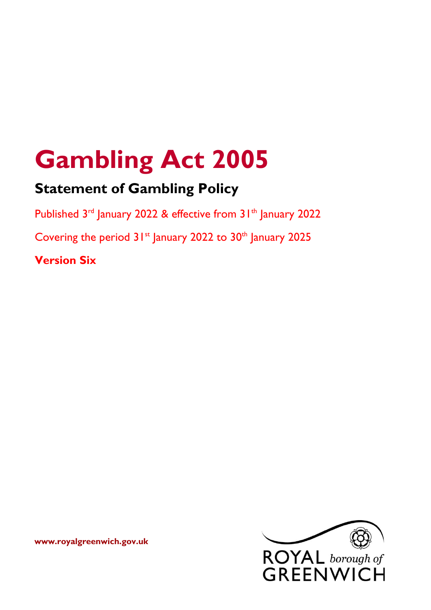# **Gambling Act 2005**

# **Statement of Gambling Policy**

Published 3<sup>rd</sup> January 2022 & effective from 31<sup>th</sup> January 2022

Covering the period  $31^{st}$  January 2022 to  $30^{th}$  January 2025

**Version Six**



**www.royalgreenwich.gov.uk**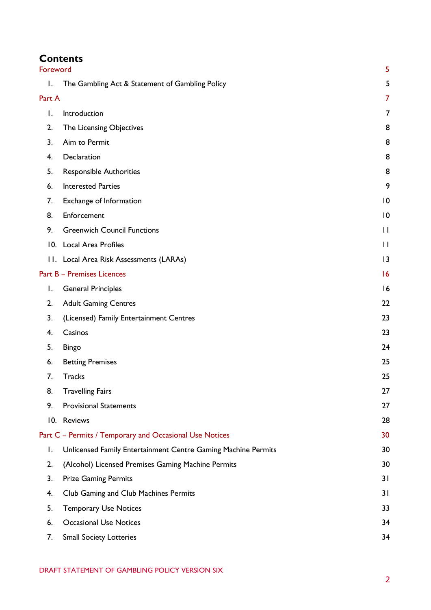## **Contents**

| Foreword |                                                               | 5               |
|----------|---------------------------------------------------------------|-----------------|
| Ι.       | The Gambling Act & Statement of Gambling Policy               | 5               |
| Part A   |                                                               | 7               |
| Ι.       | Introduction                                                  | 7               |
| 2.       | The Licensing Objectives                                      | 8               |
| 3.       | Aim to Permit                                                 | 8               |
| 4.       | Declaration                                                   | 8               |
| 5.       | <b>Responsible Authorities</b>                                | 8               |
| 6.       | <b>Interested Parties</b>                                     | 9               |
| 7.       | Exchange of Information                                       | $\overline{10}$ |
| 8.       | Enforcement                                                   | 0               |
| 9.       | <b>Greenwich Council Functions</b>                            | $\mathbf{H}$    |
|          | 10. Local Area Profiles                                       | $\mathbf{H}$    |
|          | 11. Local Area Risk Assessments (LARAs)                       | 3               |
|          | Part B - Premises Licences                                    | 16              |
| Ι.       | <b>General Principles</b>                                     | 16              |
| 2.       | <b>Adult Gaming Centres</b>                                   | 22              |
| 3.       | (Licensed) Family Entertainment Centres                       | 23              |
| 4.       | Casinos                                                       | 23              |
| 5.       | <b>Bingo</b>                                                  | 24              |
| 6.       | <b>Betting Premises</b>                                       | 25              |
| 7.       | <b>Tracks</b>                                                 | 25              |
| 8.       | <b>Travelling Fairs</b>                                       | 27              |
| 9.       | <b>Provisional Statements</b>                                 | 27              |
|          | 10. Reviews                                                   | 28              |
|          | Part C - Permits / Temporary and Occasional Use Notices       | 30              |
| Ι.       | Unlicensed Family Entertainment Centre Gaming Machine Permits | 30              |
| 2.       | (Alcohol) Licensed Premises Gaming Machine Permits            | 30              |
| 3.       | <b>Prize Gaming Permits</b>                                   | 31              |
| 4.       | Club Gaming and Club Machines Permits                         | 31              |
| 5.       | <b>Temporary Use Notices</b>                                  | 33              |
| 6.       | <b>Occasional Use Notices</b>                                 | 34              |
| 7.       | <b>Small Society Lotteries</b>                                | 34              |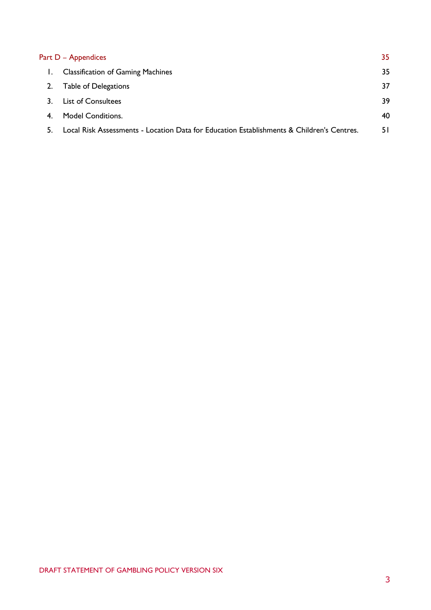|    | Part D - Appendices                                                                       | 35. |
|----|-------------------------------------------------------------------------------------------|-----|
|    | <b>Classification of Gaming Machines</b>                                                  | 35  |
| 2. | Table of Delegations                                                                      | 37  |
| 3. | <b>List of Consultees</b>                                                                 | 39  |
| 4. | <b>Model Conditions.</b>                                                                  | 40  |
| 5. | Local Risk Assessments - Location Data for Education Establishments & Children's Centres. | 51  |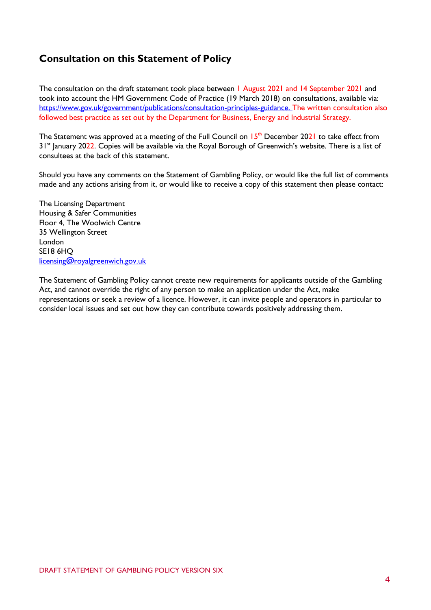# **Consultation on this Statement of Policy**

The consultation on the draft statement took place between 1 August 2021 and 14 September 2021 and took into account the HM Government Code of Practice (19 March 2018) on consultations, available via: [https://www.gov.uk/government/publications/consultation-principles-guidance.](https://www.gov.uk/government/publications/consultation-principles-guidance) The written consultation also followed best practice as set out by the Department for Business, Energy and Industrial Strategy.

The Statement was approved at a meeting of the Full Council on 15<sup>th</sup> December 2021 to take effect from 31<sup>st</sup> January 2022. Copies will be available via the Royal Borough of Greenwich's website. There is a list of consultees at the back of this statement.

Should you have any comments on the Statement of Gambling Policy, or would like the full list of comments made and any actions arising from it, or would like to receive a copy of this statement then please contact:

The Licensing Department Housing & Safer Communities Floor 4, The Woolwich Centre 35 Wellington Street London SE18 6HQ [licensing@royalgreenwich.gov.uk](mailto:licensing@royalgreenwich.gov.uk)

The Statement of Gambling Policy cannot create new requirements for applicants outside of the Gambling Act, and cannot override the right of any person to make an application under the Act, make representations or seek a review of a licence. However, it can invite people and operators in particular to consider local issues and set out how they can contribute towards positively addressing them.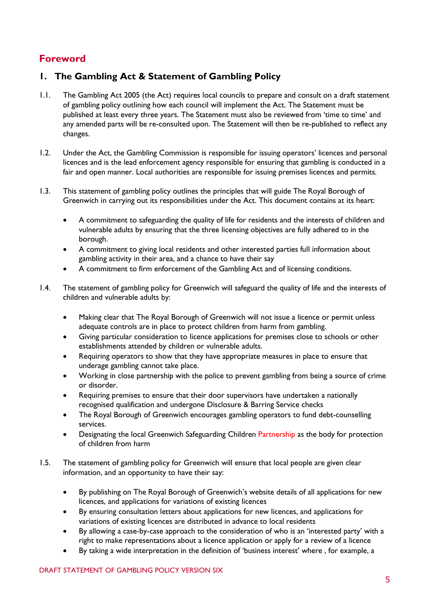# <span id="page-4-0"></span>**Foreword**

### <span id="page-4-1"></span>**1. The Gambling Act & Statement of Gambling Policy**

- 1.1. The Gambling Act 2005 (the Act) requires local councils to prepare and consult on a draft statement of gambling policy outlining how each council will implement the Act. The Statement must be published at least every three years. The Statement must also be reviewed from 'time to time' and any amended parts will be re-consulted upon. The Statement will then be re-published to reflect any changes.
- 1.2. Under the Act, the Gambling Commission is responsible for issuing operators' licences and personal licences and is the lead enforcement agency responsible for ensuring that gambling is conducted in a fair and open manner. Local authorities are responsible for issuing premises licences and permits.
- 1.3. This statement of gambling policy outlines the principles that will guide The Royal Borough of Greenwich in carrying out its responsibilities under the Act. This document contains at its heart:
	- A commitment to safeguarding the quality of life for residents and the interests of children and vulnerable adults by ensuring that the three licensing objectives are fully adhered to in the borough.
	- A commitment to giving local residents and other interested parties full information about gambling activity in their area, and a chance to have their say
	- A commitment to firm enforcement of the Gambling Act and of licensing conditions.
- 1.4. The statement of gambling policy for Greenwich will safeguard the quality of life and the interests of children and vulnerable adults by:
	- Making clear that The Royal Borough of Greenwich will not issue a licence or permit unless adequate controls are in place to protect children from harm from gambling.
	- Giving particular consideration to licence applications for premises close to schools or other establishments attended by children or vulnerable adults.
	- Requiring operators to show that they have appropriate measures in place to ensure that underage gambling cannot take place.
	- Working in close partnership with the police to prevent gambling from being a source of crime or disorder.
	- Requiring premises to ensure that their door supervisors have undertaken a nationally recognised qualification and undergone Disclosure & Barring Service checks
	- The Royal Borough of Greenwich encourages gambling operators to fund debt-counselling services.
	- Designating the local Greenwich Safeguarding Children Partnership as the body for protection of children from harm
- 1.5. The statement of gambling policy for Greenwich will ensure that local people are given clear information, and an opportunity to have their say:
	- By publishing on The Royal Borough of Greenwich's website details of all applications for new licences, and applications for variations of existing licences
	- By ensuring consultation letters about applications for new licences, and applications for variations of existing licences are distributed in advance to local residents
	- By allowing a case-by-case approach to the consideration of who is an 'interested party' with a right to make representations about a licence application or apply for a review of a licence
	- By taking a wide interpretation in the definition of 'business interest' where , for example, a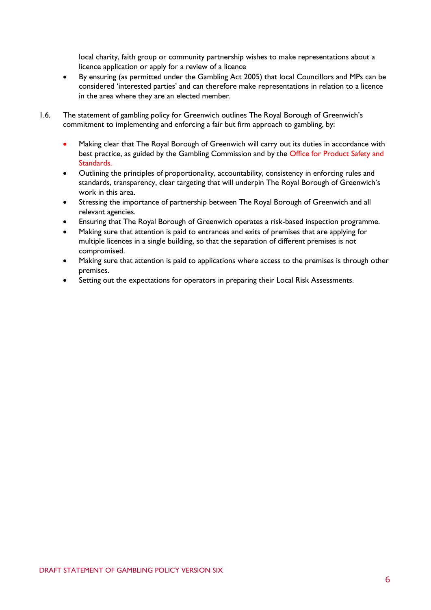local charity, faith group or community partnership wishes to make representations about a licence application or apply for a review of a licence

- By ensuring (as permitted under the Gambling Act 2005) that local Councillors and MPs can be considered 'interested parties' and can therefore make representations in relation to a licence in the area where they are an elected member.
- 1.6. The statement of gambling policy for Greenwich outlines The Royal Borough of Greenwich's commitment to implementing and enforcing a fair but firm approach to gambling, by:
	- Making clear that The Royal Borough of Greenwich will carry out its duties in accordance with best practice, as guided by the Gambling Commission and by the Office for Product Safety and Standards.
	- Outlining the principles of proportionality, accountability, consistency in enforcing rules and standards, transparency, clear targeting that will underpin The Royal Borough of Greenwich's work in this area.
	- Stressing the importance of partnership between The Royal Borough of Greenwich and all relevant agencies.
	- Ensuring that The Royal Borough of Greenwich operates a risk-based inspection programme.
	- Making sure that attention is paid to entrances and exits of premises that are applying for multiple licences in a single building, so that the separation of different premises is not compromised.
	- Making sure that attention is paid to applications where access to the premises is through other premises.
	- Setting out the expectations for operators in preparing their Local Risk Assessments.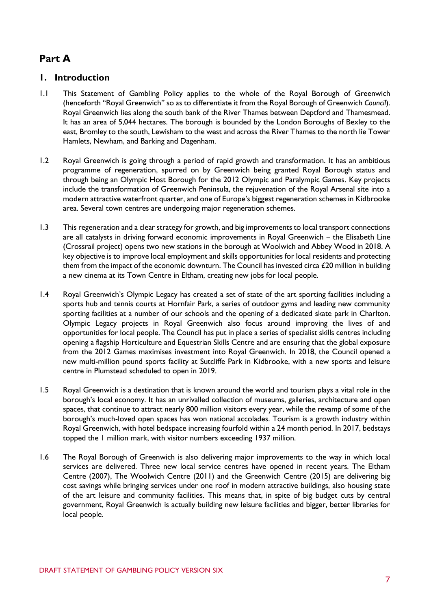# <span id="page-6-0"></span>**Part A**

#### <span id="page-6-1"></span>**1. Introduction**

- 1.1 This Statement of Gambling Policy applies to the whole of the Royal Borough of Greenwich (henceforth "Royal Greenwich" so as to differentiate it from the Royal Borough of Greenwich *Council*). Royal Greenwich lies along the south bank of the River Thames between Deptford and Thamesmead. It has an area of 5,044 hectares. The borough is bounded by the London Boroughs of Bexley to the east, Bromley to the south, Lewisham to the west and across the River Thames to the north lie Tower Hamlets, Newham, and Barking and Dagenham.
- 1.2 Royal Greenwich is going through a period of rapid growth and transformation. It has an ambitious programme of regeneration, spurred on by Greenwich being granted Royal Borough status and through being an Olympic Host Borough for the 2012 Olympic and Paralympic Games. Key projects include the transformation of Greenwich Peninsula, the rejuvenation of the Royal Arsenal site into a modern attractive waterfront quarter, and one of Europe's biggest regeneration schemes in Kidbrooke area. Several town centres are undergoing major regeneration schemes.
- 1.3 This regeneration and a clear strategy for growth, and big improvements to local transport connections are all catalysts in driving forward economic improvements in Royal Greenwich – the Elisabeth Line (Crossrail project) opens two new stations in the borough at Woolwich and Abbey Wood in 2018. A key objective is to improve local employment and skills opportunities for local residents and protecting them from the impact of the economic downturn. The Council has invested circa  $\epsilon$ 20 million in building a new cinema at its Town Centre in Eltham, creating new jobs for local people.
- 1.4 Royal Greenwich's Olympic Legacy has created a set of state of the art sporting facilities including a sports hub and tennis courts at Hornfair Park, a series of outdoor gyms and leading new community sporting facilities at a number of our schools and the opening of a dedicated skate park in Charlton. Olympic Legacy projects in Royal Greenwich also focus around improving the lives of and opportunities for local people. The Council has put in place a series of specialist skills centres including opening a flagship Horticulture and Equestrian Skills Centre and are ensuring that the global exposure from the 2012 Games maximises investment into Royal Greenwich. In 2018, the Council opened a new multi-million pound sports facility at Sutcliffe Park in Kidbrooke, with a new sports and leisure centre in Plumstead scheduled to open in 2019.
- 1.5 Royal Greenwich is a destination that is known around the world and tourism plays a vital role in the borough's local economy. It has an unrivalled collection of museums, galleries, architecture and open spaces, that continue to attract nearly 800 million visitors every year, while the revamp of some of the borough's much-loved open spaces has won national accolades. Tourism is a growth industry within Royal Greenwich, with hotel bedspace increasing fourfold within a 24 month period. In 2017, bedstays topped the 1 million mark, with visitor numbers exceeding 1937 million.
- 1.6 The Royal Borough of Greenwich is also delivering major improvements to the way in which local services are delivered. Three new local service centres have opened in recent years. The Eltham Centre (2007), The Woolwich Centre (2011) and the Greenwich Centre (2015) are delivering big cost savings while bringing services under one roof in modern attractive buildings, also housing state of the art leisure and community facilities. This means that, in spite of big budget cuts by central government, Royal Greenwich is actually building new leisure facilities and bigger, better libraries for local people.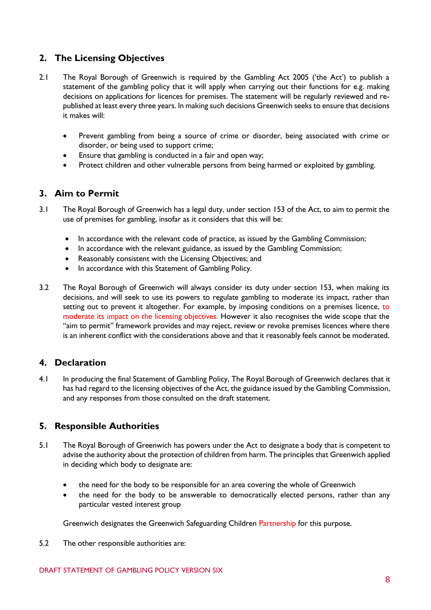#### <span id="page-7-0"></span>**2. The Licensing Objectives**

- 2.1 The Royal Borough of Greenwich is required by the Gambling Act 2005 ('the Act') to publish a statement of the gambling policy that it will apply when carrying out their functions for e.g. making decisions on applications for licences for premises. The statement will be regularly reviewed and republished at least every three years. In making such decisions Greenwich seeks to ensure that decisions it makes will:
	- Prevent gambling from being a source of crime or disorder, being associated with crime or disorder, or being used to support crime;
	- Ensure that gambling is conducted in a fair and open way;
	- Protect children and other vulnerable persons from being harmed or exploited by gambling.

#### <span id="page-7-1"></span>**3. Aim to Permit**

- 3.1 The Royal Borough of Greenwich has a legal duty, under section 153 of the Act, to aim to permit the use of premises for gambling, insofar as it considers that this will be:
	- In accordance with the relevant code of practice, as issued by the Gambling Commission;
	- In accordance with the relevant guidance, as issued by the Gambling Commission;
	- Reasonably consistent with the Licensing Objectives; and
	- In accordance with this Statement of Gambling Policy.
- 3.2 The Royal Borough of Greenwich will always consider its duty under section 153, when making its decisions, and will seek to use its powers to regulate gambling to moderate its impact, rather than setting out to prevent it altogether. For example, by imposing conditions on a premises licence, to moderate its impact on the licensing objectives. However it also recognises the wide scope that the "aim to permit" framework provides and may reject, review or revoke premises licences where there is an inherent conflict with the considerations above and that it reasonably feels cannot be moderated.

#### <span id="page-7-2"></span>**4. Declaration**

4.1 In producing the final Statement of Gambling Policy, The Royal Borough of Greenwich declares that it has had regard to the licensing objectives of the Act, the guidance issued by the Gambling Commission, and any responses from those consulted on the draft statement.

#### <span id="page-7-3"></span>**5. Responsible Authorities**

- 5.1 The Royal Borough of Greenwich has powers under the Act to designate a body that is competent to advise the authority about the protection of children from harm. The principles that Greenwich applied in deciding which body to designate are:
	- the need for the body to be responsible for an area covering the whole of Greenwich
	- the need for the body to be answerable to democratically elected persons, rather than any particular vested interest group

Greenwich designates the Greenwich Safeguarding Children Partnership for this purpose.

5.2 The other responsible authorities are: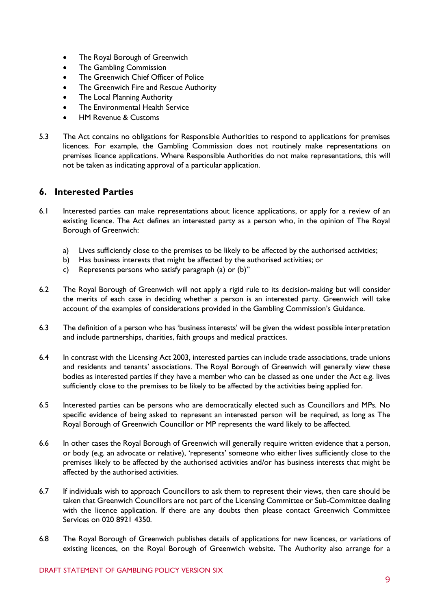- The Royal Borough of Greenwich
- The Gambling Commission
- The Greenwich Chief Officer of Police
- The Greenwich Fire and Rescue Authority
- The Local Planning Authority
- The Environmental Health Service
- HM Revenue & Customs
- 5.3 The Act contains no obligations for Responsible Authorities to respond to applications for premises licences. For example, the Gambling Commission does not routinely make representations on premises licence applications. Where Responsible Authorities do not make representations, this will not be taken as indicating approval of a particular application.

#### <span id="page-8-0"></span>**6. Interested Parties**

- 6.1 Interested parties can make representations about licence applications, or apply for a review of an existing licence. The Act defines an interested party as a person who, in the opinion of The Royal Borough of Greenwich:
	- a) Lives sufficiently close to the premises to be likely to be affected by the authorised activities;
	- b) Has business interests that might be affected by the authorised activities; or
	- c) Represents persons who satisfy paragraph (a) or (b)"
- 6.2 The Royal Borough of Greenwich will not apply a rigid rule to its decision-making but will consider the merits of each case in deciding whether a person is an interested party. Greenwich will take account of the examples of considerations provided in the Gambling Commission's Guidance.
- 6.3 The definition of a person who has 'business interests' will be given the widest possible interpretation and include partnerships, charities, faith groups and medical practices.
- 6.4 In contrast with the Licensing Act 2003, interested parties can include trade associations, trade unions and residents and tenants' associations. The Royal Borough of Greenwich will generally view these bodies as interested parties if they have a member who can be classed as one under the Act e.g. lives sufficiently close to the premises to be likely to be affected by the activities being applied for.
- 6.5 Interested parties can be persons who are democratically elected such as Councillors and MPs. No specific evidence of being asked to represent an interested person will be required, as long as The Royal Borough of Greenwich Councillor or MP represents the ward likely to be affected.
- 6.6 In other cases the Royal Borough of Greenwich will generally require written evidence that a person, or body (e.g. an advocate or relative), 'represents' someone who either lives sufficiently close to the premises likely to be affected by the authorised activities and/or has business interests that might be affected by the authorised activities.
- 6.7 If individuals wish to approach Councillors to ask them to represent their views, then care should be taken that Greenwich Councillors are not part of the Licensing Committee or Sub-Committee dealing with the licence application. If there are any doubts then please contact Greenwich Committee Services on 020 8921 4350.
- 6.8 The Royal Borough of Greenwich publishes details of applications for new licences, or variations of existing licences, on the Royal Borough of Greenwich website. The Authority also arrange for a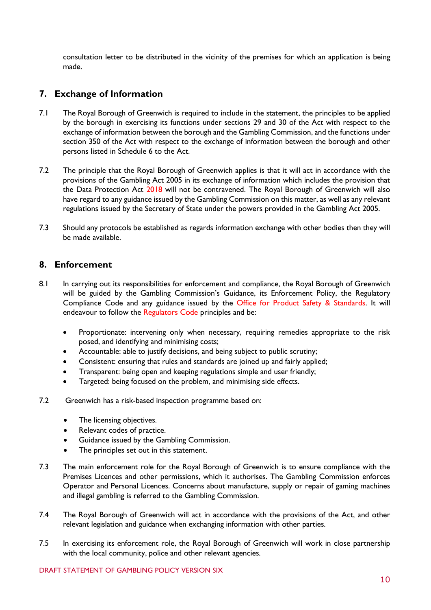consultation letter to be distributed in the vicinity of the premises for which an application is being made.

#### <span id="page-9-0"></span>**7. Exchange of Information**

- 7.1 The Royal Borough of Greenwich is required to include in the statement, the principles to be applied by the borough in exercising its functions under sections 29 and 30 of the Act with respect to the exchange of information between the borough and the Gambling Commission, and the functions under section 350 of the Act with respect to the exchange of information between the borough and other persons listed in Schedule 6 to the Act.
- 7.2 The principle that the Royal Borough of Greenwich applies is that it will act in accordance with the provisions of the Gambling Act 2005 in its exchange of information which includes the provision that the Data Protection Act 2018 will not be contravened. The Royal Borough of Greenwich will also have regard to any guidance issued by the Gambling Commission on this matter, as well as any relevant regulations issued by the Secretary of State under the powers provided in the Gambling Act 2005.
- 7.3 Should any protocols be established as regards information exchange with other bodies then they will be made available.

#### <span id="page-9-1"></span>**8. Enforcement**

- 8.1 In carrying out its responsibilities for enforcement and compliance, the Royal Borough of Greenwich will be guided by the Gambling Commission's Guidance, its Enforcement Policy, the Regulatory Compliance Code and any guidance issued by the Office for Product Safety & Standards. It will endeavour to follow the Regulators Code principles and be:
	- Proportionate: intervening only when necessary, requiring remedies appropriate to the risk posed, and identifying and minimising costs;
	- Accountable: able to justify decisions, and being subject to public scrutiny;
	- Consistent: ensuring that rules and standards are joined up and fairly applied:
	- Transparent: being open and keeping regulations simple and user friendly;
	- Targeted: being focused on the problem, and minimising side effects.
- 7.2 Greenwich has a risk-based inspection programme based on:
	- The licensing objectives.
	- Relevant codes of practice.
	- Guidance issued by the Gambling Commission.
	- The principles set out in this statement.
- 7.3 The main enforcement role for the Royal Borough of Greenwich is to ensure compliance with the Premises Licences and other permissions, which it authorises. The Gambling Commission enforces Operator and Personal Licences. Concerns about manufacture, supply or repair of gaming machines and illegal gambling is referred to the Gambling Commission.
- 7.4 The Royal Borough of Greenwich will act in accordance with the provisions of the Act, and other relevant legislation and guidance when exchanging information with other parties.
- 7.5 In exercising its enforcement role, the Royal Borough of Greenwich will work in close partnership with the local community, police and other relevant agencies.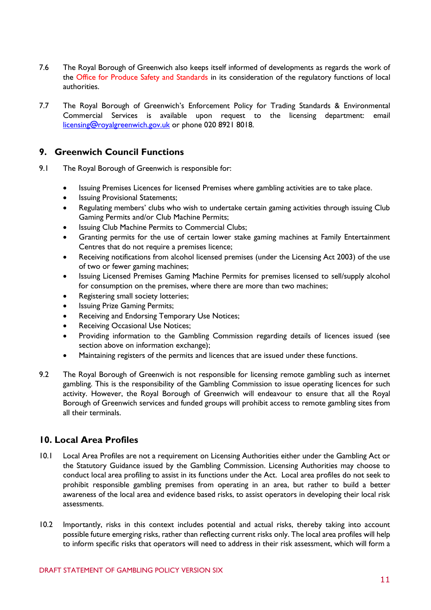- 7.6 The Royal Borough of Greenwich also keeps itself informed of developments as regards the work of the Office for Produce Safety and Standards in its consideration of the regulatory functions of local authorities.
- 7.7 The Royal Borough of Greenwich's Enforcement Policy for Trading Standards & Environmental Commercial Services is available upon request to the licensing department: email [licensing@royalgreenwich.gov.uk](mailto:licensing@royalgreenwich.gov.uk) or phone 020 8921 8018.

#### <span id="page-10-0"></span>**9. Greenwich Council Functions**

- 9.1 The Royal Borough of Greenwich is responsible for:
	- Issuing Premises Licences for licensed Premises where gambling activities are to take place.
	- Issuing Provisional Statements;
	- Regulating members' clubs who wish to undertake certain gaming activities through issuing Club Gaming Permits and/or Club Machine Permits;
	- Issuing Club Machine Permits to Commercial Clubs;
	- Granting permits for the use of certain lower stake gaming machines at Family Entertainment Centres that do not require a premises licence;
	- Receiving notifications from alcohol licensed premises (under the Licensing Act 2003) of the use of two or fewer gaming machines;
	- Issuing Licensed Premises Gaming Machine Permits for premises licensed to sell/supply alcohol for consumption on the premises, where there are more than two machines;
	- Registering small society lotteries;
	- Issuing Prize Gaming Permits;
	- Receiving and Endorsing Temporary Use Notices;
	- Receiving Occasional Use Notices;
	- Providing information to the Gambling Commission regarding details of licences issued (see section above on information exchange);
	- Maintaining registers of the permits and licences that are issued under these functions.
- 9.2 The Royal Borough of Greenwich is not responsible for licensing remote gambling such as internet gambling. This is the responsibility of the Gambling Commission to issue operating licences for such activity. However, the Royal Borough of Greenwich will endeavour to ensure that all the Royal Borough of Greenwich services and funded groups will prohibit access to remote gambling sites from all their terminals.

#### <span id="page-10-1"></span>**10. Local Area Profiles**

- 10.1 Local Area Profiles are not a requirement on Licensing Authorities either under the Gambling Act or the Statutory Guidance issued by the Gambling Commission. Licensing Authorities may choose to conduct local area profiling to assist in its functions under the Act. Local area profiles do not seek to prohibit responsible gambling premises from operating in an area, but rather to build a better awareness of the local area and evidence based risks, to assist operators in developing their local risk assessments.
- 10.2 Importantly, risks in this context includes potential and actual risks, thereby taking into account possible future emerging risks, rather than reflecting current risks only. The local area profiles will help to inform specific risks that operators will need to address in their risk assessment, which will form a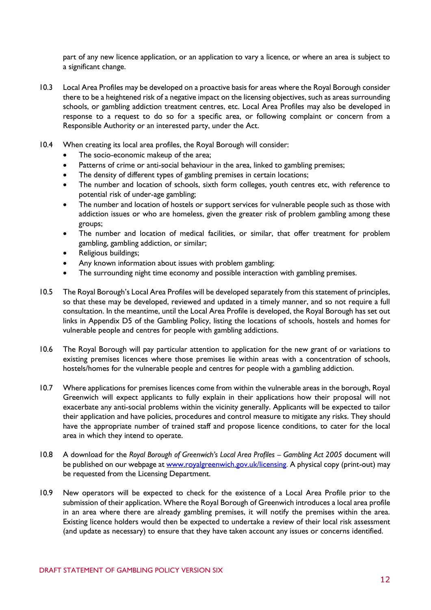part of any new licence application, or an application to vary a licence, or where an area is subject to a significant change.

- 10.3 Local Area Profiles may be developed on a proactive basis for areas where the Royal Borough consider there to be a heightened risk of a negative impact on the licensing objectives, such as areas surrounding schools, or gambling addiction treatment centres, etc. Local Area Profiles may also be developed in response to a request to do so for a specific area, or following complaint or concern from a Responsible Authority or an interested party, under the Act.
- 10.4 When creating its local area profiles, the Royal Borough will consider:
	- The socio-economic makeup of the area;
	- Patterns of crime or anti-social behaviour in the area, linked to gambling premises;
	- The density of different types of gambling premises in certain locations;
	- The number and location of schools, sixth form colleges, youth centres etc, with reference to potential risk of under-age gambling;
	- The number and location of hostels or support services for vulnerable people such as those with addiction issues or who are homeless, given the greater risk of problem gambling among these groups;
	- The number and location of medical facilities, or similar, that offer treatment for problem gambling, gambling addiction, or similar;
	- Religious buildings;
	- Any known information about issues with problem gambling;
	- The surrounding night time economy and possible interaction with gambling premises.
- 10.5 The Royal Borough's Local Area Profiles will be developed separately from this statement of principles, so that these may be developed, reviewed and updated in a timely manner, and so not require a full consultation. In the meantime, until the Local Area Profile is developed, the Royal Borough has set out links in Appendix D5 of the Gambling Policy, listing the locations of schools, hostels and homes for vulnerable people and centres for people with gambling addictions.
- 10.6 The Royal Borough will pay particular attention to application for the new grant of or variations to existing premises licences where those premises lie within areas with a concentration of schools, hostels/homes for the vulnerable people and centres for people with a gambling addiction.
- 10.7 Where applications for premises licences come from within the vulnerable areas in the borough, Royal Greenwich will expect applicants to fully explain in their applications how their proposal will not exacerbate any anti-social problems within the vicinity generally. Applicants will be expected to tailor their application and have policies, procedures and control measure to mitigate any risks. They should have the appropriate number of trained staff and propose licence conditions, to cater for the local area in which they intend to operate.
- 10.8 A download for the *Royal Borough of Greenwich's Local Area Profiles – Gambling Act 2005* document will be published on our webpage at [www.royalgreenwich.gov.uk/licensing.](http://www.royalgreenwich.gov.uk/licensing) A physical copy (print-out) may be requested from the Licensing Department.
- 10.9 New operators will be expected to check for the existence of a Local Area Profile prior to the submission of their application. Where the Royal Borough of Greenwich introduces a local area profile in an area where there are already gambling premises, it will notify the premises within the area. Existing licence holders would then be expected to undertake a review of their local risk assessment (and update as necessary) to ensure that they have taken account any issues or concerns identified.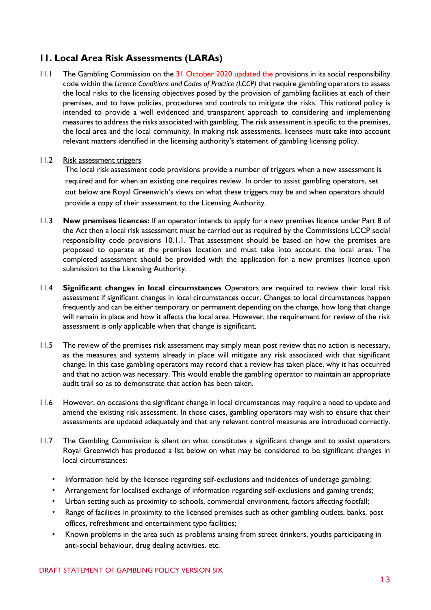#### <span id="page-12-0"></span>**11. Local Area Risk Assessments (LARAs)**

11.1 The Gambling Commission on the 31 October 2020 updated the provisions in its social responsibility code within the *Licence Conditions and Codes of Practice (LCCP)* that require gambling operators to assess the local risks to the licensing objectives posed by the provision of gambling facilities at each of their premises, and to have policies, procedures and controls to mitigate the risks. This national policy is intended to provide a well evidenced and transparent approach to considering and implementing measures to address the risks associated with gambling. The risk assessment is specific to the premises, the local area and the local community. In making risk assessments, licensees must take into account relevant matters identified in the licensing authority's statement of gambling licensing policy.

#### 11.2 Risk assessment triggers

The local risk assessment code provisions provide a number of triggers when a new assessment is required and for when an existing one requires review. In order to assist gambling operators, set out below are Royal Greenwich's views on what these triggers may be and when operators should provide a copy of their assessment to the Licensing Authority.

- 11.3 **New premises licences:** If an operator intends to apply for a new premises licence under Part 8 of the Act then a local risk assessment must be carried out as required by the Commissions LCCP social responsibility code provisions 10.1.1. That assessment should be based on how the premises are proposed to operate at the premises location and must take into account the local area. The completed assessment should be provided with the application for a new premises licence upon submission to the Licensing Authority.
- 11.4 **Significant changes in local circumstances** Operators are required to review their local risk assessment if significant changes in local circumstances occur. Changes to local circumstances happen frequently and can be either temporary or permanent depending on the change, how long that change will remain in place and how it affects the local area. However, the requirement for review of the risk assessment is only applicable when that change is significant.
- 11.5 The review of the premises risk assessment may simply mean post review that no action is necessary, as the measures and systems already in place will mitigate any risk associated with that significant change. In this case gambling operators may record that a review has taken place, why it has occurred and that no action was necessary. This would enable the gambling operator to maintain an appropriate audit trail so as to demonstrate that action has been taken.
- 11.6 However, on occasions the significant change in local circumstances may require a need to update and amend the existing risk assessment. In those cases, gambling operators may wish to ensure that their assessments are updated adequately and that any relevant control measures are introduced correctly.
- 11.7 The Gambling Commission is silent on what constitutes a significant change and to assist operators Royal Greenwich has produced a list below on what may be considered to be significant changes in local circumstances:
	- Information held by the licensee regarding self-exclusions and incidences of underage gambling;
	- Arrangement for localised exchange of information regarding self-exclusions and gaming trends;
	- Urban setting such as proximity to schools, commercial environment, factors affecting footfall;
	- Range of facilities in proximity to the licensed premises such as other gambling outlets, banks, post offices, refreshment and entertainment type facilities;
	- Known problems in the area such as problems arising from street drinkers, youths participating in anti-social behaviour, drug dealing activities, etc.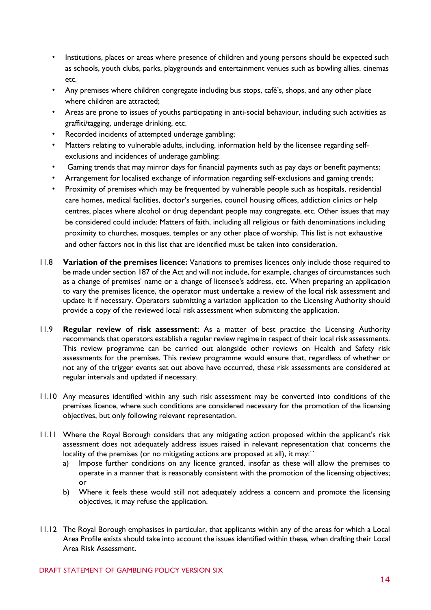- Institutions, places or areas where presence of children and young persons should be expected such as schools, youth clubs, parks, playgrounds and entertainment venues such as bowling allies. cinemas etc.
- Any premises where children congregate including bus stops, café's, shops, and any other place where children are attracted;
- Areas are prone to issues of youths participating in anti-social behaviour, including such activities as graffiti/tagging, underage drinking, etc.
- Recorded incidents of attempted underage gambling;
- Matters relating to vulnerable adults, including, information held by the licensee regarding selfexclusions and incidences of underage gambling;
- Gaming trends that may mirror days for financial payments such as pay days or benefit payments;
- Arrangement for localised exchange of information regarding self-exclusions and gaming trends;
- Proximity of premises which may be frequented by vulnerable people such as hospitals, residential care homes, medical facilities, doctor's surgeries, council housing offices, addiction clinics or help centres, places where alcohol or drug dependant people may congregate, etc. Other issues that may be considered could include: Matters of faith, including all religious or faith denominations including proximity to churches, mosques, temples or any other place of worship. This list is not exhaustive and other factors not in this list that are identified must be taken into consideration.
- 11.8 **Variation of the premises licence:** Variations to premises licences only include those required to be made under section 187 of the Act and will not include, for example, changes of circumstances such as a change of premises' name or a change of licensee's address, etc. When preparing an application to vary the premises licence, the operator must undertake a review of the local risk assessment and update it if necessary. Operators submitting a variation application to the Licensing Authority should provide a copy of the reviewed local risk assessment when submitting the application.
- 11.9 **Regular review of risk assessment**: As a matter of best practice the Licensing Authority recommends that operators establish a regular review regime in respect of their local risk assessments. This review programme can be carried out alongside other reviews on Health and Safety risk assessments for the premises. This review programme would ensure that, regardless of whether or not any of the trigger events set out above have occurred, these risk assessments are considered at regular intervals and updated if necessary.
- 11.10 Any measures identified within any such risk assessment may be converted into conditions of the premises licence, where such conditions are considered necessary for the promotion of the licensing objectives, but only following relevant representation.
- 11.11 Where the Royal Borough considers that any mitigating action proposed within the applicant's risk assessment does not adequately address issues raised in relevant representation that concerns the locality of the premises (or no mitigating actions are proposed at all), it may:``
	- a) Impose further conditions on any licence granted, insofar as these will allow the premises to operate in a manner that is reasonably consistent with the promotion of the licensing objectives; or
	- b) Where it feels these would still not adequately address a concern and promote the licensing objectives, it may refuse the application.
- 11.12 The Royal Borough emphasises in particular, that applicants within any of the areas for which a Local Area Profile exists should take into account the issues identified within these, when drafting their Local Area Risk Assessment.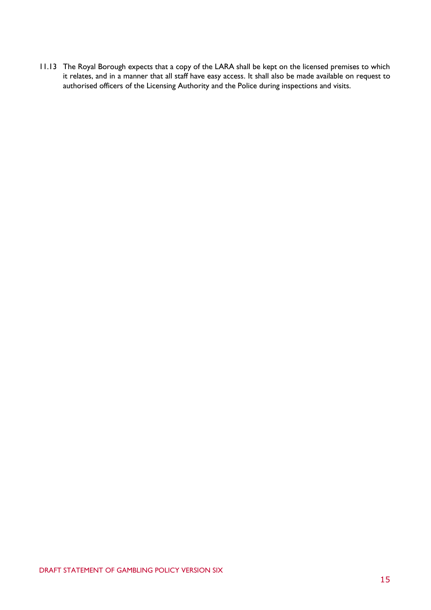11.13 The Royal Borough expects that a copy of the LARA shall be kept on the licensed premises to which it relates, and in a manner that all staff have easy access. It shall also be made available on request to authorised officers of the Licensing Authority and the Police during inspections and visits.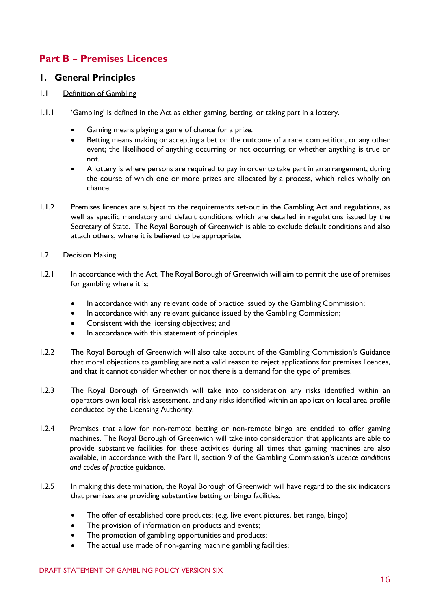# <span id="page-15-0"></span>**Part B – Premises Licences**

#### <span id="page-15-1"></span>**1. General Principles**

#### 1.1 Definition of Gambling

- 1.1.1 'Gambling' is defined in the Act as either gaming, betting, or taking part in a lottery.
	- Gaming means playing a game of chance for a prize.
	- Betting means making or accepting a bet on the outcome of a race, competition, or any other event; the likelihood of anything occurring or not occurring; or whether anything is true or not.
	- A lottery is where persons are required to pay in order to take part in an arrangement, during the course of which one or more prizes are allocated by a process, which relies wholly on chance.
- 1.1.2 Premises licences are subject to the requirements set-out in the Gambling Act and regulations, as well as specific mandatory and default conditions which are detailed in regulations issued by the Secretary of State. The Royal Borough of Greenwich is able to exclude default conditions and also attach others, where it is believed to be appropriate.

#### 1.2 Decision Making

- 1.2.1 In accordance with the Act, The Royal Borough of Greenwich will aim to permit the use of premises for gambling where it is:
	- In accordance with any relevant code of practice issued by the Gambling Commission;
	- In accordance with any relevant guidance issued by the Gambling Commission;
	- Consistent with the licensing objectives; and
	- In accordance with this statement of principles.
- 1.2.2 The Royal Borough of Greenwich will also take account of the Gambling Commission's Guidance that moral objections to gambling are not a valid reason to reject applications for premises licences, and that it cannot consider whether or not there is a demand for the type of premises.
- 1.2.3 The Royal Borough of Greenwich will take into consideration any risks identified within an operators own local risk assessment, and any risks identified within an application local area profile conducted by the Licensing Authority.
- 1.2.4 Premises that allow for non-remote betting or non-remote bingo are entitled to offer gaming machines. The Royal Borough of Greenwich will take into consideration that applicants are able to provide substantive facilities for these activities during all times that gaming machines are also available, in accordance with the Part II, section 9 of the Gambling Commission's *Licence conditions and codes of practice* guidance.
- 1.2.5 In making this determination, the Royal Borough of Greenwich will have regard to the six indicators that premises are providing substantive betting or bingo facilities.
	- The offer of established core products; (e.g. live event pictures, bet range, bingo)
	- The provision of information on products and events;
	- The promotion of gambling opportunities and products;
	- The actual use made of non-gaming machine gambling facilities;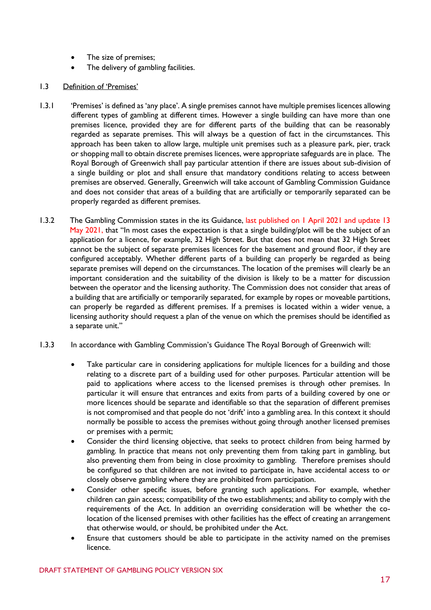- The size of premises;
- The delivery of gambling facilities.

#### 1.3 Definition of 'Premises'

- 1.3.1 'Premises' is defined as 'any place'. A single premises cannot have multiple premises licences allowing different types of gambling at different times. However a single building can have more than one premises licence, provided they are for different parts of the building that can be reasonably regarded as separate premises. This will always be a question of fact in the circumstances. This approach has been taken to allow large, multiple unit premises such as a pleasure park, pier, track or shopping mall to obtain discrete premises licences, were appropriate safeguards are in place. The Royal Borough of Greenwich shall pay particular attention if there are issues about sub-division of a single building or plot and shall ensure that mandatory conditions relating to access between premises are observed. Generally, Greenwich will take account of Gambling Commission Guidance and does not consider that areas of a building that are artificially or temporarily separated can be properly regarded as different premises.
- 1.3.2 The Gambling Commission states in the its Guidance, last published on 1 April 2021 and update 13 May 2021, that "In most cases the expectation is that a single building/plot will be the subject of an application for a licence, for example, 32 High Street. But that does not mean that 32 High Street cannot be the subject of separate premises licences for the basement and ground floor, if they are configured acceptably. Whether different parts of a building can properly be regarded as being separate premises will depend on the circumstances. The location of the premises will clearly be an important consideration and the suitability of the division is likely to be a matter for discussion between the operator and the licensing authority. The Commission does not consider that areas of a building that are artificially or temporarily separated, for example by ropes or moveable partitions, can properly be regarded as different premises. If a premises is located within a wider venue, a licensing authority should request a plan of the venue on which the premises should be identified as a separate unit."
- 1.3.3 In accordance with Gambling Commission's Guidance The Royal Borough of Greenwich will:
	- Take particular care in considering applications for multiple licences for a building and those relating to a discrete part of a building used for other purposes. Particular attention will be paid to applications where access to the licensed premises is through other premises. In particular it will ensure that entrances and exits from parts of a building covered by one or more licences should be separate and identifiable so that the separation of different premises is not compromised and that people do not 'drift' into a gambling area. In this context it should normally be possible to access the premises without going through another licensed premises or premises with a permit;
	- Consider the third licensing objective, that seeks to protect children from being harmed by gambling. In practice that means not only preventing them from taking part in gambling, but also preventing them from being in close proximity to gambling. Therefore premises should be configured so that children are not invited to participate in, have accidental access to or closely observe gambling where they are prohibited from participation.
	- Consider other specific issues, before granting such applications. For example, whether children can gain access; compatibility of the two establishments; and ability to comply with the requirements of the Act. In addition an overriding consideration will be whether the colocation of the licensed premises with other facilities has the effect of creating an arrangement that otherwise would, or should, be prohibited under the Act.
	- Ensure that customers should be able to participate in the activity named on the premises licence.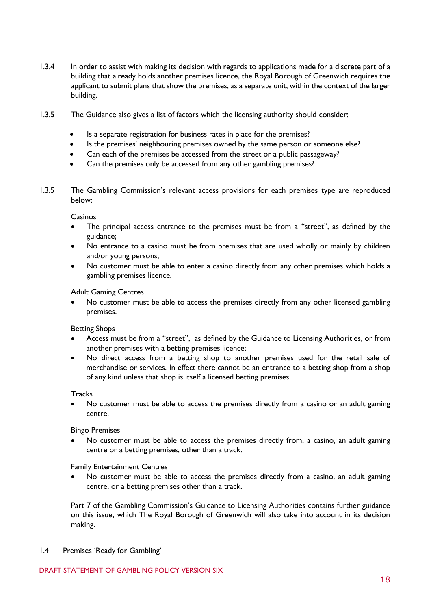- 1.3.4 In order to assist with making its decision with regards to applications made for a discrete part of a building that already holds another premises licence, the Royal Borough of Greenwich requires the applicant to submit plans that show the premises, as a separate unit, within the context of the larger building.
- 1.3.5 The Guidance also gives a list of factors which the licensing authority should consider:
	- Is a separate registration for business rates in place for the premises?
	- Is the premises' neighbouring premises owned by the same person or someone else?
	- Can each of the premises be accessed from the street or a public passageway?
	- Can the premises only be accessed from any other gambling premises?
- 1.3.5 The Gambling Commission's relevant access provisions for each premises type are reproduced below:

#### Casinos

- The principal access entrance to the premises must be from a "street", as defined by the guidance;
- No entrance to a casino must be from premises that are used wholly or mainly by children and/or young persons;
- No customer must be able to enter a casino directly from any other premises which holds a gambling premises licence.

Adult Gaming Centres

• No customer must be able to access the premises directly from any other licensed gambling premises.

Betting Shops

- Access must be from a "street", as defined by the Guidance to Licensing Authorities, or from another premises with a betting premises licence;
- No direct access from a betting shop to another premises used for the retail sale of merchandise or services. In effect there cannot be an entrance to a betting shop from a shop of any kind unless that shop is itself a licensed betting premises.

**Tracks** 

• No customer must be able to access the premises directly from a casino or an adult gaming centre.

Bingo Premises

• No customer must be able to access the premises directly from, a casino, an adult gaming centre or a betting premises, other than a track.

Family Entertainment Centres

• No customer must be able to access the premises directly from a casino, an adult gaming centre, or a betting premises other than a track.

Part 7 of the Gambling Commission's Guidance to Licensing Authorities contains further guidance on this issue, which The Royal Borough of Greenwich will also take into account in its decision making.

1.4 Premises 'Ready for Gambling'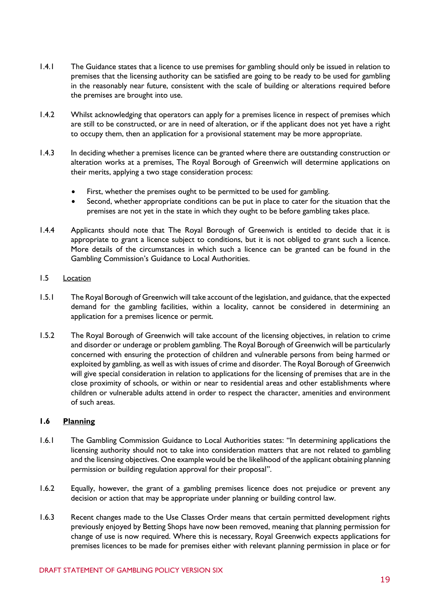- 1.4.1 The Guidance states that a licence to use premises for gambling should only be issued in relation to premises that the licensing authority can be satisfied are going to be ready to be used for gambling in the reasonably near future, consistent with the scale of building or alterations required before the premises are brought into use.
- 1.4.2 Whilst acknowledging that operators can apply for a premises licence in respect of premises which are still to be constructed, or are in need of alteration, or if the applicant does not yet have a right to occupy them, then an application for a provisional statement may be more appropriate.
- 1.4.3 In deciding whether a premises licence can be granted where there are outstanding construction or alteration works at a premises, The Royal Borough of Greenwich will determine applications on their merits, applying a two stage consideration process:
	- First, whether the premises ought to be permitted to be used for gambling.
	- Second, whether appropriate conditions can be put in place to cater for the situation that the premises are not yet in the state in which they ought to be before gambling takes place.
- 1.4.4 Applicants should note that The Royal Borough of Greenwich is entitled to decide that it is appropriate to grant a licence subject to conditions, but it is not obliged to grant such a licence. More details of the circumstances in which such a licence can be granted can be found in the Gambling Commission's Guidance to Local Authorities.

#### 1.5 Location

- 1.5.1 The Royal Borough of Greenwich will take account of the legislation, and guidance, that the expected demand for the gambling facilities, within a locality, cannot be considered in determining an application for a premises licence or permit.
- 1.5.2 The Royal Borough of Greenwich will take account of the licensing objectives, in relation to crime and disorder or underage or problem gambling. The Royal Borough of Greenwich will be particularly concerned with ensuring the protection of children and vulnerable persons from being harmed or exploited by gambling, as well as with issues of crime and disorder. The Royal Borough of Greenwich will give special consideration in relation to applications for the licensing of premises that are in the close proximity of schools, or within or near to residential areas and other establishments where children or vulnerable adults attend in order to respect the character, amenities and environment of such areas.

#### **1.6 Planning**

- 1.6.1 The Gambling Commission Guidance to Local Authorities states: "In determining applications the licensing authority should not to take into consideration matters that are not related to gambling and the licensing objectives. One example would be the likelihood of the applicant obtaining planning permission or building regulation approval for their proposal".
- 1.6.2 Equally, however, the grant of a gambling premises licence does not prejudice or prevent any decision or action that may be appropriate under planning or building control law.
- 1.6.3 Recent changes made to the Use Classes Order means that certain permitted development rights previously enjoyed by Betting Shops have now been removed, meaning that planning permission for change of use is now required. Where this is necessary, Royal Greenwich expects applications for premises licences to be made for premises either with relevant planning permission in place or for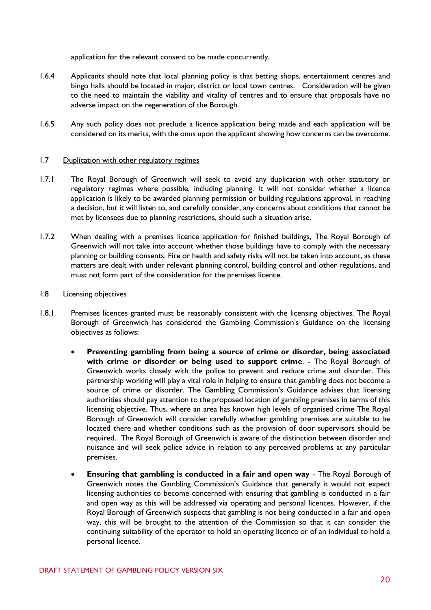application for the relevant consent to be made concurrently.

- 1.6.4 Applicants should note that local planning policy is that betting shops, entertainment centres and bingo halls should be located in major, district or local town centres. Consideration will be given to the need to maintain the viability and vitality of centres and to ensure that proposals have no adverse impact on the regeneration of the Borough.
- 1.6.5 Any such policy does not preclude a licence application being made and each application will be considered on its merits, with the onus upon the applicant showing how concerns can be overcome.

#### 1.7 Duplication with other regulatory regimes

- 1.7.1 The Royal Borough of Greenwich will seek to avoid any duplication with other statutory or regulatory regimes where possible, including planning. It will not consider whether a licence application is likely to be awarded planning permission or building regulations approval, in reaching a decision, but it will listen to, and carefully consider, any concerns about conditions that cannot be met by licensees due to planning restrictions, should such a situation arise.
- 1.7.2 When dealing with a premises licence application for finished buildings, The Royal Borough of Greenwich will not take into account whether those buildings have to comply with the necessary planning or building consents. Fire or health and safety risks will not be taken into account, as these matters are dealt with under relevant planning control, building control and other regulations, and must not form part of the consideration for the premises licence.

#### 1.8 Licensing objectives

- 1.8.1 Premises licences granted must be reasonably consistent with the licensing objectives. The Royal Borough of Greenwich has considered the Gambling Commission's Guidance on the licensing objectives as follows:
	- **Preventing gambling from being a source of crime or disorder, being associated with crime or disorder or being used to support crime**. - The Royal Borough of Greenwich works closely with the police to prevent and reduce crime and disorder. This partnership working will play a vital role in helping to ensure that gambling does not become a source of crime or disorder. The Gambling Commission's Guidance advises that licensing authorities should pay attention to the proposed location of gambling premises in terms of this licensing objective. Thus, where an area has known high levels of organised crime The Royal Borough of Greenwich will consider carefully whether gambling premises are suitable to be located there and whether conditions such as the provision of door supervisors should be required. The Royal Borough of Greenwich is aware of the distinction between disorder and nuisance and will seek police advice in relation to any perceived problems at any particular premises.
	- **Ensuring that gambling is conducted in a fair and open way** The Royal Borough of Greenwich notes the Gambling Commission's Guidance that generally it would not expect licensing authorities to become concerned with ensuring that gambling is conducted in a fair and open way as this will be addressed via operating and personal licences. However, if the Royal Borough of Greenwich suspects that gambling is not being conducted in a fair and open way, this will be brought to the attention of the Commission so that it can consider the continuing suitability of the operator to hold an operating licence or of an individual to hold a personal licence.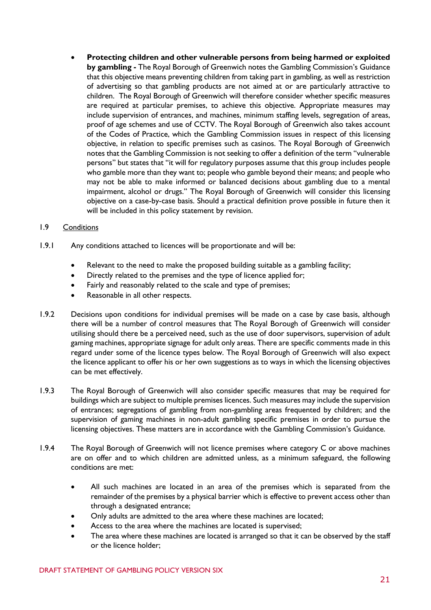• **Protecting children and other vulnerable persons from being harmed or exploited by gambling -** The Royal Borough of Greenwich notes the Gambling Commission's Guidance that this objective means preventing children from taking part in gambling, as well as restriction of advertising so that gambling products are not aimed at or are particularly attractive to children. The Royal Borough of Greenwich will therefore consider whether specific measures are required at particular premises, to achieve this objective. Appropriate measures may include supervision of entrances, and machines, minimum staffing levels, segregation of areas, proof of age schemes and use of CCTV. The Royal Borough of Greenwich also takes account of the Codes of Practice, which the Gambling Commission issues in respect of this licensing objective, in relation to specific premises such as casinos. The Royal Borough of Greenwich notes that the Gambling Commission is not seeking to offer a definition of the term "vulnerable persons" but states that "it will for regulatory purposes assume that this group includes people who gamble more than they want to; people who gamble beyond their means; and people who may not be able to make informed or balanced decisions about gambling due to a mental impairment, alcohol or drugs." The Royal Borough of Greenwich will consider this licensing objective on a case-by-case basis. Should a practical definition prove possible in future then it will be included in this policy statement by revision.

#### 1.9 Conditions

- 1.9.1 Any conditions attached to licences will be proportionate and will be:
	- Relevant to the need to make the proposed building suitable as a gambling facility;
	- Directly related to the premises and the type of licence applied for;
	- Fairly and reasonably related to the scale and type of premises;
	- Reasonable in all other respects.
- 1.9.2 Decisions upon conditions for individual premises will be made on a case by case basis, although there will be a number of control measures that The Royal Borough of Greenwich will consider utilising should there be a perceived need, such as the use of door supervisors, supervision of adult gaming machines, appropriate signage for adult only areas. There are specific comments made in this regard under some of the licence types below. The Royal Borough of Greenwich will also expect the licence applicant to offer his or her own suggestions as to ways in which the licensing objectives can be met effectively.
- 1.9.3 The Royal Borough of Greenwich will also consider specific measures that may be required for buildings which are subject to multiple premises licences. Such measures may include the supervision of entrances; segregations of gambling from non-gambling areas frequented by children; and the supervision of gaming machines in non-adult gambling specific premises in order to pursue the licensing objectives. These matters are in accordance with the Gambling Commission's Guidance.
- 1.9.4 The Royal Borough of Greenwich will not licence premises where category C or above machines are on offer and to which children are admitted unless, as a minimum safeguard, the following conditions are met:
	- All such machines are located in an area of the premises which is separated from the remainder of the premises by a physical barrier which is effective to prevent access other than through a designated entrance;
	- Only adults are admitted to the area where these machines are located;
	- Access to the area where the machines are located is supervised;
	- The area where these machines are located is arranged so that it can be observed by the staff or the licence holder;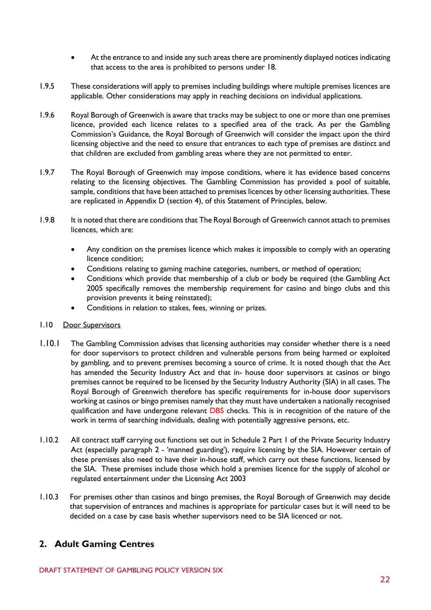- At the entrance to and inside any such areas there are prominently displayed notices indicating that access to the area is prohibited to persons under 18.
- 1.9.5 These considerations will apply to premises including buildings where multiple premises licences are applicable. Other considerations may apply in reaching decisions on individual applications.
- 1.9.6 Royal Borough of Greenwich is aware that tracks may be subject to one or more than one premises licence, provided each licence relates to a specified area of the track. As per the Gambling Commission's Guidance, the Royal Borough of Greenwich will consider the impact upon the third licensing objective and the need to ensure that entrances to each type of premises are distinct and that children are excluded from gambling areas where they are not permitted to enter.
- 1.9.7 The Royal Borough of Greenwich may impose conditions, where it has evidence based concerns relating to the licensing objectives. The Gambling Commission has provided a pool of suitable, sample, conditions that have been attached to premises licences by other licensing authorities. These are replicated in Appendix D (section 4), of this Statement of Principles, below.
- 1.9.8 It is noted that there are conditions that The Royal Borough of Greenwich cannot attach to premises licences, which are:
	- Any condition on the premises licence which makes it impossible to comply with an operating licence condition;
	- Conditions relating to gaming machine categories, numbers, or method of operation;
	- Conditions which provide that membership of a club or body be required (the Gambling Act 2005 specifically removes the membership requirement for casino and bingo clubs and this provision prevents it being reinstated);
	- Conditions in relation to stakes, fees, winning or prizes.
- 1.10 Door Supervisors
- 1.10.1 The Gambling Commission advises that licensing authorities may consider whether there is a need for door supervisors to protect children and vulnerable persons from being harmed or exploited by gambling, and to prevent premises becoming a source of crime. It is noted though that the Act has amended the Security Industry Act and that in- house door supervisors at casinos or bingo premises cannot be required to be licensed by the Security Industry Authority (SIA) in all cases. The Royal Borough of Greenwich therefore has specific requirements for in-house door supervisors working at casinos or bingo premises namely that they must have undertaken a nationally recognised qualification and have undergone relevant DBS checks. This is in recognition of the nature of the work in terms of searching individuals, dealing with potentially aggressive persons, etc.
- 1.10.2 All contract staff carrying out functions set out in Schedule 2 Part 1 of the Private Security Industry Act (especially paragraph 2 - 'manned guarding'), require licensing by the SIA. However certain of these premises also need to have their in-house staff, which carry out these functions, licensed by the SIA. These premises include those which hold a premises licence for the supply of alcohol or regulated entertainment under the Licensing Act 2003
- 1.10.3 For premises other than casinos and bingo premises, the Royal Borough of Greenwich may decide that supervision of entrances and machines is appropriate for particular cases but it will need to be decided on a case by case basis whether supervisors need to be SIA licenced or not.

#### <span id="page-21-0"></span>**2. Adult Gaming Centres**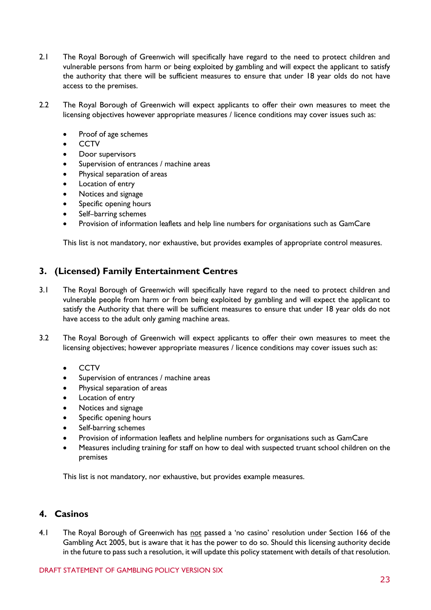- 2.1 The Royal Borough of Greenwich will specifically have regard to the need to protect children and vulnerable persons from harm or being exploited by gambling and will expect the applicant to satisfy the authority that there will be sufficient measures to ensure that under 18 year olds do not have access to the premises.
- 2.2 The Royal Borough of Greenwich will expect applicants to offer their own measures to meet the licensing objectives however appropriate measures / licence conditions may cover issues such as:
	- Proof of age schemes
	- CCTV
	- Door supervisors
	- Supervision of entrances / machine areas
	- Physical separation of areas
	- Location of entry
	- Notices and signage
	- Specific opening hours
	- Self-barring schemes
	- Provision of information leaflets and help line numbers for organisations such as GamCare

This list is not mandatory, nor exhaustive, but provides examples of appropriate control measures.

#### <span id="page-22-0"></span>**3. (Licensed) Family Entertainment Centres**

- 3.1 The Royal Borough of Greenwich will specifically have regard to the need to protect children and vulnerable people from harm or from being exploited by gambling and will expect the applicant to satisfy the Authority that there will be sufficient measures to ensure that under 18 year olds do not have access to the adult only gaming machine areas.
- 3.2 The Royal Borough of Greenwich will expect applicants to offer their own measures to meet the licensing objectives; however appropriate measures / licence conditions may cover issues such as:
	- CCTV
	- Supervision of entrances / machine areas
	- Physical separation of areas
	- Location of entry
	- Notices and signage
	- Specific opening hours
	- Self-barring schemes
	- Provision of information leaflets and helpline numbers for organisations such as GamCare
	- Measures including training for staff on how to deal with suspected truant school children on the premises

This list is not mandatory, nor exhaustive, but provides example measures.

#### <span id="page-22-1"></span>**4. Casinos**

4.1 The Royal Borough of Greenwich has not passed a 'no casino' resolution under Section 166 of the Gambling Act 2005, but is aware that it has the power to do so. Should this licensing authority decide in the future to pass such a resolution, it will update this policy statement with details of that resolution.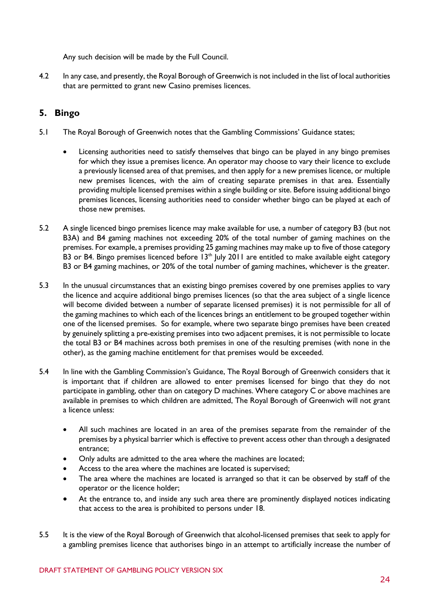Any such decision will be made by the Full Council.

4.2 In any case, and presently, the Royal Borough of Greenwich is not included in the list of local authorities that are permitted to grant new Casino premises licences.

### <span id="page-23-0"></span>**5. Bingo**

- 5.1 The Royal Borough of Greenwich notes that the Gambling Commissions' Guidance states;
	- Licensing authorities need to satisfy themselves that bingo can be played in any bingo premises for which they issue a premises licence. An operator may choose to vary their licence to exclude a previously licensed area of that premises, and then apply for a new premises licence, or multiple new premises licences, with the aim of creating separate premises in that area. Essentially providing multiple licensed premises within a single building or site. Before issuing additional bingo premises licences, licensing authorities need to consider whether bingo can be played at each of those new premises.
- 5.2 A single licenced bingo premises licence may make available for use, a number of category B3 (but not B3A) and B4 gaming machines not exceeding 20% of the total number of gaming machines on the premises. For example, a premises providing 25 gaming machines may make up to five of those category B3 or B4. Bingo premises licenced before  $13<sup>th</sup>$  July 2011 are entitled to make available eight category B3 or B4 gaming machines, or 20% of the total number of gaming machines, whichever is the greater.
- 5.3 In the unusual circumstances that an existing bingo premises covered by one premises applies to vary the licence and acquire additional bingo premises licences (so that the area subject of a single licence will become divided between a number of separate licensed premises) it is not permissible for all of the gaming machines to which each of the licences brings an entitlement to be grouped together within one of the licensed premises. So for example, where two separate bingo premises have been created by genuinely splitting a pre-existing premises into two adjacent premises, it is not permissible to locate the total B3 or B4 machines across both premises in one of the resulting premises (with none in the other), as the gaming machine entitlement for that premises would be exceeded.
- 5.4 In line with the Gambling Commission's Guidance, The Royal Borough of Greenwich considers that it is important that if children are allowed to enter premises licensed for bingo that they do not participate in gambling, other than on category D machines. Where category C or above machines are available in premises to which children are admitted, The Royal Borough of Greenwich will not grant a licence unless:
	- All such machines are located in an area of the premises separate from the remainder of the premises by a physical barrier which is effective to prevent access other than through a designated entrance;
	- Only adults are admitted to the area where the machines are located;
	- Access to the area where the machines are located is supervised;
	- The area where the machines are located is arranged so that it can be observed by staff of the operator or the licence holder;
	- At the entrance to, and inside any such area there are prominently displayed notices indicating that access to the area is prohibited to persons under 18.
- 5.5 It is the view of the Royal Borough of Greenwich that alcohol-licensed premises that seek to apply for a gambling premises licence that authorises bingo in an attempt to artificially increase the number of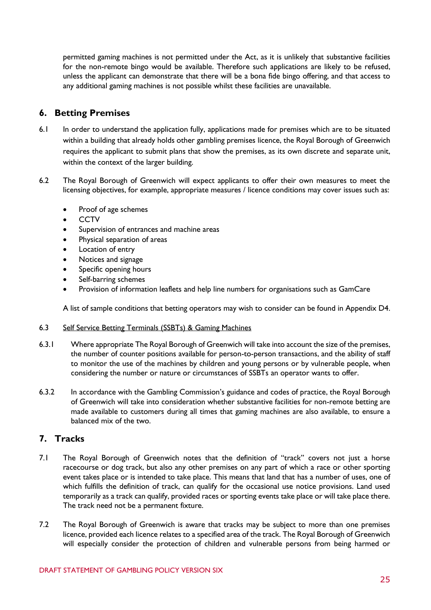permitted gaming machines is not permitted under the Act, as it is unlikely that substantive facilities for the non-remote bingo would be available. Therefore such applications are likely to be refused, unless the applicant can demonstrate that there will be a bona fide bingo offering, and that access to any additional gaming machines is not possible whilst these facilities are unavailable.

#### <span id="page-24-0"></span>**6. Betting Premises**

- 6.1 In order to understand the application fully, applications made for premises which are to be situated within a building that already holds other gambling premises licence, the Royal Borough of Greenwich requires the applicant to submit plans that show the premises, as its own discrete and separate unit, within the context of the larger building.
- 6.2 The Royal Borough of Greenwich will expect applicants to offer their own measures to meet the licensing objectives, for example, appropriate measures / licence conditions may cover issues such as:
	- Proof of age schemes
	- CCTV
	- Supervision of entrances and machine areas
	- Physical separation of areas
	- Location of entry
	- Notices and signage
	- Specific opening hours
	- Self-barring schemes
	- Provision of information leaflets and help line numbers for organisations such as GamCare

A list of sample conditions that betting operators may wish to consider can be found in Appendix D4.

#### 6.3 Self Service Betting Terminals (SSBTs) & Gaming Machines

- 6.3.1 Where appropriate The Royal Borough of Greenwich will take into account the size of the premises, the number of counter positions available for person-to-person transactions, and the ability of staff to monitor the use of the machines by children and young persons or by vulnerable people, when considering the number or nature or circumstances of SSBTs an operator wants to offer.
- 6.3.2 In accordance with the Gambling Commission's guidance and codes of practice, the Royal Borough of Greenwich will take into consideration whether substantive facilities for non-remote betting are made available to customers during all times that gaming machines are also available, to ensure a balanced mix of the two.

#### <span id="page-24-1"></span>**7. Tracks**

- 7.1 The Royal Borough of Greenwich notes that the definition of "track" covers not just a horse racecourse or dog track, but also any other premises on any part of which a race or other sporting event takes place or is intended to take place. This means that land that has a number of uses, one of which fulfills the definition of track, can qualify for the occasional use notice provisions. Land used temporarily as a track can qualify, provided races or sporting events take place or will take place there. The track need not be a permanent fixture.
- 7.2 The Royal Borough of Greenwich is aware that tracks may be subject to more than one premises licence, provided each licence relates to a specified area of the track. The Royal Borough of Greenwich will especially consider the protection of children and vulnerable persons from being harmed or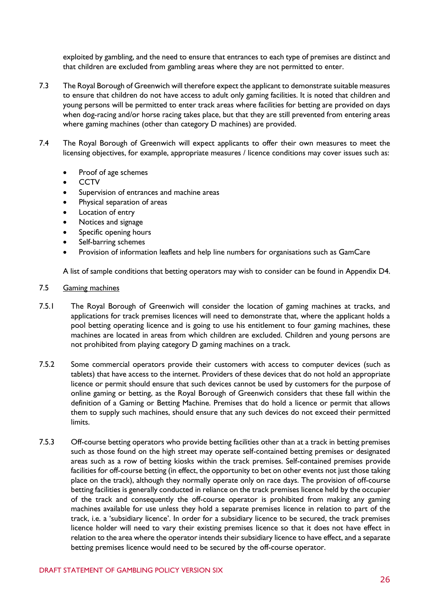exploited by gambling, and the need to ensure that entrances to each type of premises are distinct and that children are excluded from gambling areas where they are not permitted to enter.

- 7.3 The Royal Borough of Greenwich will therefore expect the applicant to demonstrate suitable measures to ensure that children do not have access to adult only gaming facilities. It is noted that children and young persons will be permitted to enter track areas where facilities for betting are provided on days when dog-racing and/or horse racing takes place, but that they are still prevented from entering areas where gaming machines (other than category D machines) are provided.
- 7.4 The Royal Borough of Greenwich will expect applicants to offer their own measures to meet the licensing objectives, for example, appropriate measures / licence conditions may cover issues such as:
	- Proof of age schemes
	- CCTV
	- Supervision of entrances and machine areas
	- Physical separation of areas
	- Location of entry
	- Notices and signage
	- Specific opening hours
	- Self-barring schemes
	- Provision of information leaflets and help line numbers for organisations such as GamCare

A list of sample conditions that betting operators may wish to consider can be found in Appendix D4.

#### 7.5 Gaming machines

- 7.5.1 The Royal Borough of Greenwich will consider the location of gaming machines at tracks, and applications for track premises licences will need to demonstrate that, where the applicant holds a pool betting operating licence and is going to use his entitlement to four gaming machines, these machines are located in areas from which children are excluded. Children and young persons are not prohibited from playing category D gaming machines on a track.
- 7.5.2 Some commercial operators provide their customers with access to computer devices (such as tablets) that have access to the internet. Providers of these devices that do not hold an appropriate licence or permit should ensure that such devices cannot be used by customers for the purpose of online gaming or betting, as the Royal Borough of Greenwich considers that these fall within the definition of a Gaming or Betting Machine. Premises that do hold a licence or permit that allows them to supply such machines, should ensure that any such devices do not exceed their permitted limits.
- 7.5.3 Off-course betting operators who provide betting facilities other than at a track in betting premises such as those found on the high street may operate self-contained betting premises or designated areas such as a row of betting kiosks within the track premises. Self-contained premises provide facilities for off-course betting (in effect, the opportunity to bet on other events not just those taking place on the track), although they normally operate only on race days. The provision of off-course betting facilities is generally conducted in reliance on the track premises licence held by the occupier of the track and consequently the off-course operator is prohibited from making any gaming machines available for use unless they hold a separate premises licence in relation to part of the track, i.e. a 'subsidiary licence'. In order for a subsidiary licence to be secured, the track premises licence holder will need to vary their existing premises licence so that it does not have effect in relation to the area where the operator intends their subsidiary licence to have effect, and a separate betting premises licence would need to be secured by the off-course operator.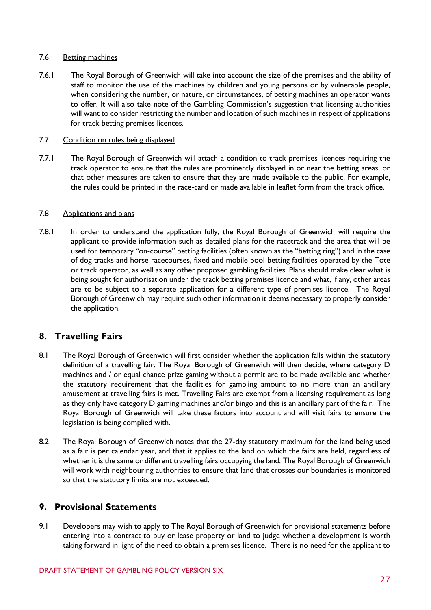#### 7.6 Betting machines

7.6.1 The Royal Borough of Greenwich will take into account the size of the premises and the ability of staff to monitor the use of the machines by children and young persons or by vulnerable people, when considering the number, or nature, or circumstances, of betting machines an operator wants to offer. It will also take note of the Gambling Commission's suggestion that licensing authorities will want to consider restricting the number and location of such machines in respect of applications for track betting premises licences.

#### 7.7 Condition on rules being displayed

7.7.1 The Royal Borough of Greenwich will attach a condition to track premises licences requiring the track operator to ensure that the rules are prominently displayed in or near the betting areas, or that other measures are taken to ensure that they are made available to the public. For example, the rules could be printed in the race-card or made available in leaflet form from the track office.

#### 7.8 Applications and plans

7.8.1 In order to understand the application fully, the Royal Borough of Greenwich will require the applicant to provide information such as detailed plans for the racetrack and the area that will be used for temporary "on-course" betting facilities (often known as the "betting ring") and in the case of dog tracks and horse racecourses, fixed and mobile pool betting facilities operated by the Tote or track operator, as well as any other proposed gambling facilities. Plans should make clear what is being sought for authorisation under the track betting premises licence and what, if any, other areas are to be subject to a separate application for a different type of premises licence. The Royal Borough of Greenwich may require such other information it deems necessary to properly consider the application.

#### <span id="page-26-0"></span>**8. Travelling Fairs**

- 8.1 The Royal Borough of Greenwich will first consider whether the application falls within the statutory definition of a travelling fair. The Royal Borough of Greenwich will then decide, where category D machines and / or equal chance prize gaming without a permit are to be made available and whether the statutory requirement that the facilities for gambling amount to no more than an ancillary amusement at travelling fairs is met. Travelling Fairs are exempt from a licensing requirement as long as they only have category D gaming machines and/or bingo and this is an ancillary part of the fair. The Royal Borough of Greenwich will take these factors into account and will visit fairs to ensure the legislation is being complied with.
- 8.2 The Royal Borough of Greenwich notes that the 27-day statutory maximum for the land being used as a fair is per calendar year, and that it applies to the land on which the fairs are held, regardless of whether it is the same or different travelling fairs occupying the land. The Royal Borough of Greenwich will work with neighbouring authorities to ensure that land that crosses our boundaries is monitored so that the statutory limits are not exceeded.

#### <span id="page-26-1"></span>**9. Provisional Statements**

9.1 Developers may wish to apply to The Royal Borough of Greenwich for provisional statements before entering into a contract to buy or lease property or land to judge whether a development is worth taking forward in light of the need to obtain a premises licence. There is no need for the applicant to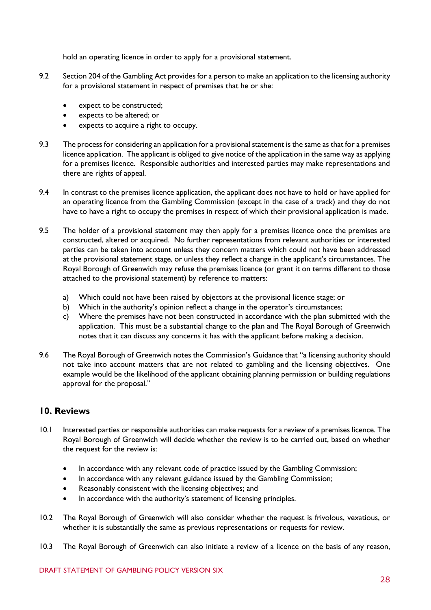hold an operating licence in order to apply for a provisional statement.

- 9.2 Section 204 of the Gambling Act provides for a person to make an application to the licensing authority for a provisional statement in respect of premises that he or she:
	- expect to be constructed;
	- expects to be altered; or
	- expects to acquire a right to occupy.
- 9.3 The process for considering an application for a provisional statement is the same as that for a premises licence application. The applicant is obliged to give notice of the application in the same way as applying for a premises licence. Responsible authorities and interested parties may make representations and there are rights of appeal.
- 9.4 In contrast to the premises licence application, the applicant does not have to hold or have applied for an operating licence from the Gambling Commission (except in the case of a track) and they do not have to have a right to occupy the premises in respect of which their provisional application is made.
- 9.5 The holder of a provisional statement may then apply for a premises licence once the premises are constructed, altered or acquired. No further representations from relevant authorities or interested parties can be taken into account unless they concern matters which could not have been addressed at the provisional statement stage, or unless they reflect a change in the applicant's circumstances. The Royal Borough of Greenwich may refuse the premises licence (or grant it on terms different to those attached to the provisional statement) by reference to matters:
	- a) Which could not have been raised by objectors at the provisional licence stage; or
	- b) Which in the authority's opinion reflect a change in the operator's circumstances;
	- c) Where the premises have not been constructed in accordance with the plan submitted with the application. This must be a substantial change to the plan and The Royal Borough of Greenwich notes that it can discuss any concerns it has with the applicant before making a decision.
- 9.6 The Royal Borough of Greenwich notes the Commission's Guidance that "a licensing authority should not take into account matters that are not related to gambling and the licensing objectives. One example would be the likelihood of the applicant obtaining planning permission or building regulations approval for the proposal."

#### <span id="page-27-0"></span>**10. Reviews**

- 10.1 Interested parties or responsible authorities can make requests for a review of a premises licence. The Royal Borough of Greenwich will decide whether the review is to be carried out, based on whether the request for the review is:
	- In accordance with any relevant code of practice issued by the Gambling Commission;
	- In accordance with any relevant guidance issued by the Gambling Commission;
	- Reasonably consistent with the licensing objectives; and
	- In accordance with the authority's statement of licensing principles.
- 10.2 The Royal Borough of Greenwich will also consider whether the request is frivolous, vexatious, or whether it is substantially the same as previous representations or requests for review.
- 10.3 The Royal Borough of Greenwich can also initiate a review of a licence on the basis of any reason,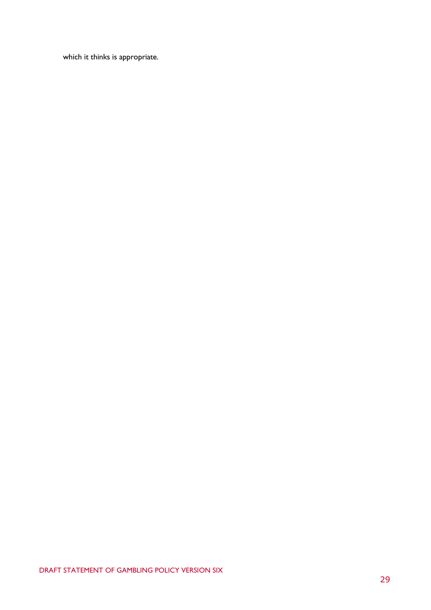which it thinks is appropriate.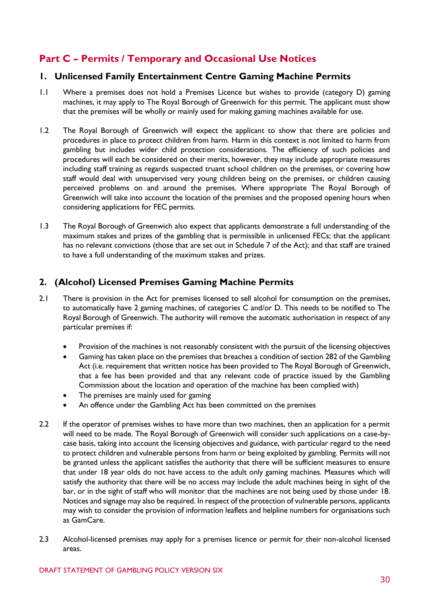# <span id="page-29-0"></span>**Part C – Permits / Temporary and Occasional Use Notices**

#### <span id="page-29-1"></span>**1. Unlicensed Family Entertainment Centre Gaming Machine Permits**

- 1.1 Where a premises does not hold a Premises Licence but wishes to provide (category D) gaming machines, it may apply to The Royal Borough of Greenwich for this permit. The applicant must show that the premises will be wholly or mainly used for making gaming machines available for use.
- 1.2 The Royal Borough of Greenwich will expect the applicant to show that there are policies and procedures in place to protect children from harm. Harm in this context is not limited to harm from gambling but includes wider child protection considerations. The efficiency of such policies and procedures will each be considered on their merits, however, they may include appropriate measures including staff training as regards suspected truant school children on the premises, or covering how staff would deal with unsupervised very young children being on the premises, or children causing perceived problems on and around the premises. Where appropriate The Royal Borough of Greenwich will take into account the location of the premises and the proposed opening hours when considering applications for FEC permits.
- 1.3 The Royal Borough of Greenwich also expect that applicants demonstrate a full understanding of the maximum stakes and prizes of the gambling that is permissible in unlicensed FECs; that the applicant has no relevant convictions (those that are set out in Schedule 7 of the Act); and that staff are trained to have a full understanding of the maximum stakes and prizes.

#### <span id="page-29-2"></span>**2. (Alcohol) Licensed Premises Gaming Machine Permits**

- 2.1 There is provision in the Act for premises licensed to sell alcohol for consumption on the premises, to automatically have 2 gaming machines, of categories C and/or D. This needs to be notified to The Royal Borough of Greenwich. The authority will remove the automatic authorisation in respect of any particular premises if:
	- Provision of the machines is not reasonably consistent with the pursuit of the licensing objectives
	- Gaming has taken place on the premises that breaches a condition of section 282 of the Gambling Act (i.e. requirement that written notice has been provided to The Royal Borough of Greenwich, that a fee has been provided and that any relevant code of practice issued by the Gambling Commission about the location and operation of the machine has been complied with)
	- The premises are mainly used for gaming
	- An offence under the Gambling Act has been committed on the premises
- 2.2 If the operator of premises wishes to have more than two machines, then an application for a permit will need to be made. The Royal Borough of Greenwich will consider such applications on a case-bycase basis, taking into account the licensing objectives and guidance, with particular regard to the need to protect children and vulnerable persons from harm or being exploited by gambling. Permits will not be granted unless the applicant satisfies the authority that there will be sufficient measures to ensure that under 18 year olds do not have access to the adult only gaming machines. Measures which will satisfy the authority that there will be no access may include the adult machines being in sight of the bar, or in the sight of staff who will monitor that the machines are not being used by those under 18. Notices and signage may also be required. In respect of the protection of vulnerable persons, applicants may wish to consider the provision of information leaflets and helpline numbers for organisations such as GamCare.
- 2.3 Alcohol-licensed premises may apply for a premises licence or permit for their non-alcohol licensed areas.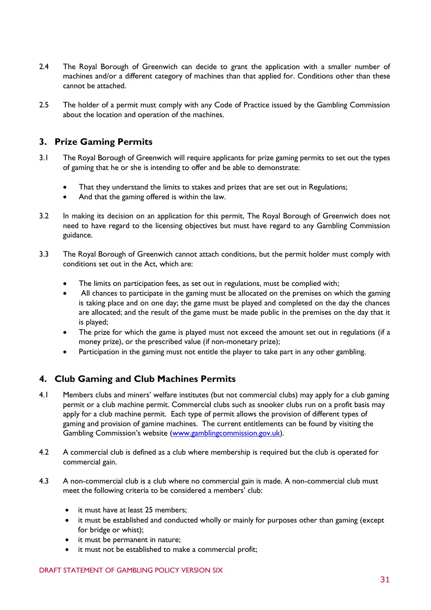- 2.4 The Royal Borough of Greenwich can decide to grant the application with a smaller number of machines and/or a different category of machines than that applied for. Conditions other than these cannot be attached.
- 2.5 The holder of a permit must comply with any Code of Practice issued by the Gambling Commission about the location and operation of the machines.

#### <span id="page-30-0"></span>**3. Prize Gaming Permits**

- 3.1 The Royal Borough of Greenwich will require applicants for prize gaming permits to set out the types of gaming that he or she is intending to offer and be able to demonstrate:
	- That they understand the limits to stakes and prizes that are set out in Regulations;
	- And that the gaming offered is within the law.
- 3.2 In making its decision on an application for this permit, The Royal Borough of Greenwich does not need to have regard to the licensing objectives but must have regard to any Gambling Commission guidance.
- 3.3 The Royal Borough of Greenwich cannot attach conditions, but the permit holder must comply with conditions set out in the Act, which are:
	- The limits on participation fees, as set out in regulations, must be complied with;
	- All chances to participate in the gaming must be allocated on the premises on which the gaming is taking place and on one day; the game must be played and completed on the day the chances are allocated; and the result of the game must be made public in the premises on the day that it is played;
	- The prize for which the game is played must not exceed the amount set out in regulations (if a money prize), or the prescribed value (if non-monetary prize);
	- Participation in the gaming must not entitle the player to take part in any other gambling.

#### <span id="page-30-1"></span>**4. Club Gaming and Club Machines Permits**

- 4.1 Members clubs and miners' welfare institutes (but not commercial clubs) may apply for a club gaming permit or a club machine permit. Commercial clubs such as snooker clubs run on a profit basis may apply for a club machine permit. Each type of permit allows the provision of different types of gaming and provision of gamine machines. The current entitlements can be found by visiting the Gambling Commission's website ([www.gamblingcommission.gov.uk\)](http://www.gamblingcommission.gov.uk/).
- 4.2 A commercial club is defined as a club where membership is required but the club is operated for commercial gain.
- 4.3 A non-commercial club is a club where no commercial gain is made. A non-commercial club must meet the following criteria to be considered a members' club:
	- it must have at least 25 members;
	- it must be established and conducted wholly or mainly for purposes other than gaming (except for bridge or whist);
	- it must be permanent in nature;
	- it must not be established to make a commercial profit;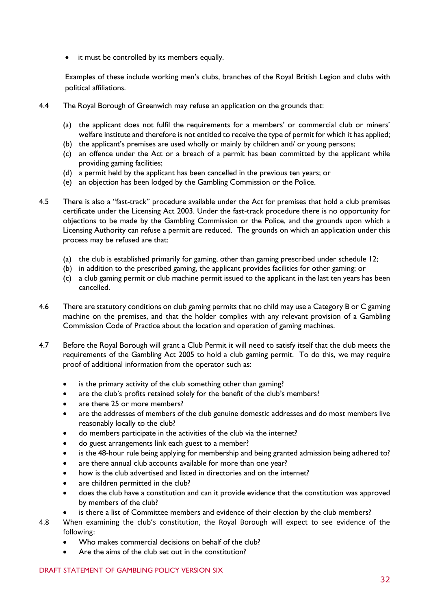• it must be controlled by its members equally.

Examples of these include working men's clubs, branches of the Royal British Legion and clubs with political affiliations.

- 4.4 The Royal Borough of Greenwich may refuse an application on the grounds that:
	- (a) the applicant does not fulfil the requirements for a members' or commercial club or miners' welfare institute and therefore is not entitled to receive the type of permit for which it has applied;
	- (b) the applicant's premises are used wholly or mainly by children and/ or young persons;
	- (c) an offence under the Act or a breach of a permit has been committed by the applicant while providing gaming facilities;
	- (d) a permit held by the applicant has been cancelled in the previous ten years; or
	- (e) an objection has been lodged by the Gambling Commission or the Police.
- 4.5 There is also a "fast-track" procedure available under the Act for premises that hold a club premises certificate under the Licensing Act 2003. Under the fast-track procedure there is no opportunity for objections to be made by the Gambling Commission or the Police, and the grounds upon which a Licensing Authority can refuse a permit are reduced. The grounds on which an application under this process may be refused are that:
	- (a) the club is established primarily for gaming, other than gaming prescribed under schedule 12;
	- (b) in addition to the prescribed gaming, the applicant provides facilities for other gaming; or
	- (c) a club gaming permit or club machine permit issued to the applicant in the last ten years has been cancelled.
- 4.6 There are statutory conditions on club gaming permits that no child may use a Category B or C gaming machine on the premises, and that the holder complies with any relevant provision of a Gambling Commission Code of Practice about the location and operation of gaming machines.
- 4.7 Before the Royal Borough will grant a Club Permit it will need to satisfy itself that the club meets the requirements of the Gambling Act 2005 to hold a club gaming permit. To do this, we may require proof of additional information from the operator such as:
	- is the primary activity of the club something other than gaming?
	- are the club's profits retained solely for the benefit of the club's members?
	- are there 25 or more members?
	- are the addresses of members of the club genuine domestic addresses and do most members live reasonably locally to the club?
	- do members participate in the activities of the club via the internet?
	- do guest arrangements link each guest to a member?
	- is the 48-hour rule being applying for membership and being granted admission being adhered to?
	- are there annual club accounts available for more than one year?
	- how is the club advertised and listed in directories and on the internet?
	- are children permitted in the club?
	- does the club have a constitution and can it provide evidence that the constitution was approved by members of the club?
	- is there a list of Committee members and evidence of their election by the club members?
- 4.8 When examining the club's constitution, the Royal Borough will expect to see evidence of the following:
	- Who makes commercial decisions on behalf of the club?
	- Are the aims of the club set out in the constitution?

#### DRAFT STATEMENT OF GAMBLING POLICY VERSION SIX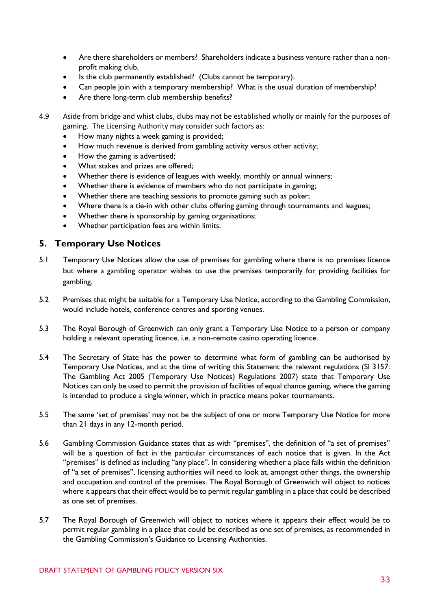- Are there shareholders or members? Shareholders indicate a business venture rather than a nonprofit making club.
- Is the club permanently established? (Clubs cannot be temporary).
- Can people join with a temporary membership? What is the usual duration of membership?
- Are there long-term club membership benefits?
- 4.9 Aside from bridge and whist clubs, clubs may not be established wholly or mainly for the purposes of gaming. The Licensing Authority may consider such factors as:
	- How many nights a week gaming is provided;
	- How much revenue is derived from gambling activity versus other activity;
	- How the gaming is advertised;
	- What stakes and prizes are offered;
	- Whether there is evidence of leagues with weekly, monthly or annual winners;
	- Whether there is evidence of members who do not participate in gaming;
	- Whether there are teaching sessions to promote gaming such as poker;
	- Where there is a tie-in with other clubs offering gaming through tournaments and leagues;
	- Whether there is sponsorship by gaming organisations;
	- Whether participation fees are within limits.

#### <span id="page-32-0"></span>**5. Temporary Use Notices**

- 5.1 Temporary Use Notices allow the use of premises for gambling where there is no premises licence but where a gambling operator wishes to use the premises temporarily for providing facilities for gambling.
- 5.2 Premises that might be suitable for a Temporary Use Notice, according to the Gambling Commission, would include hotels, conference centres and sporting venues.
- 5.3 The Royal Borough of Greenwich can only grant a Temporary Use Notice to a person or company holding a relevant operating licence, i.e. a non-remote casino operating licence.
- 5.4 The Secretary of State has the power to determine what form of gambling can be authorised by Temporary Use Notices, and at the time of writing this Statement the relevant regulations (SI 3157: The Gambling Act 2005 (Temporary Use Notices) Regulations 2007) state that Temporary Use Notices can only be used to permit the provision of facilities of equal chance gaming, where the gaming is intended to produce a single winner, which in practice means poker tournaments.
- 5.5 The same 'set of premises' may not be the subject of one or more Temporary Use Notice for more than 21 days in any 12-month period.
- 5.6 Gambling Commission Guidance states that as with "premises", the definition of "a set of premises" will be a question of fact in the particular circumstances of each notice that is given. In the Act "premises" is defined as including "any place". In considering whether a place falls within the definition of "a set of premises", licensing authorities will need to look at, amongst other things, the ownership and occupation and control of the premises. The Royal Borough of Greenwich will object to notices where it appears that their effect would be to permit regular gambling in a place that could be described as one set of premises.
- 5.7 The Royal Borough of Greenwich will object to notices where it appears their effect would be to permit regular gambling in a place that could be described as one set of premises, as recommended in the Gambling Commission's Guidance to Licensing Authorities.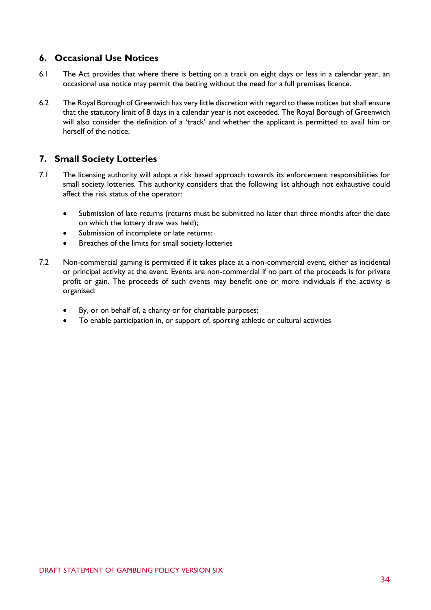#### <span id="page-33-0"></span>**6. Occasional Use Notices**

- 6.1 The Act provides that where there is betting on a track on eight days or less in a calendar year, an occasional use notice may permit the betting without the need for a full premises licence.
- 6.2 The Royal Borough of Greenwich has very little discretion with regard to these notices but shall ensure that the statutory limit of 8 days in a calendar year is not exceeded. The Royal Borough of Greenwich will also consider the definition of a 'track' and whether the applicant is permitted to avail him or herself of the notice.

#### <span id="page-33-1"></span>**7. Small Society Lotteries**

- 7.1 The licensing authority will adopt a risk based approach towards its enforcement responsibilities for small society lotteries. This authority considers that the following list although not exhaustive could affect the risk status of the operator:
	- Submission of late returns (returns must be submitted no later than three months after the date on which the lottery draw was held);
	- Submission of incomplete or late returns;
	- Breaches of the limits for small society lotteries
- 7.2 Non-commercial gaming is permitted if it takes place at a non-commercial event, either as incidental or principal activity at the event. Events are non-commercial if no part of the proceeds is for private profit or gain. The proceeds of such events may benefit one or more individuals if the activity is organised:
	- By, or on behalf of, a charity or for charitable purposes;
	- To enable participation in, or support of, sporting athletic or cultural activities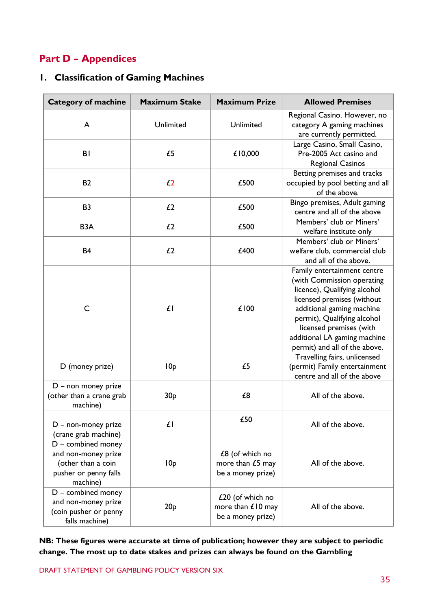# <span id="page-34-0"></span>**Part D – Appendices**

#### <span id="page-34-1"></span>**1. Classification of Gaming Machines**

| <b>Category of machine</b>                                                                           | <b>Maximum Stake</b> | <b>Maximum Prize</b>                                           | <b>Allowed Premises</b>                                                                                                                                                                                                                                                         |
|------------------------------------------------------------------------------------------------------|----------------------|----------------------------------------------------------------|---------------------------------------------------------------------------------------------------------------------------------------------------------------------------------------------------------------------------------------------------------------------------------|
| A                                                                                                    | Unlimited            | Unlimited                                                      | Regional Casino. However, no<br>category A gaming machines<br>are currently permitted.                                                                                                                                                                                          |
| B <sub>1</sub>                                                                                       | £5                   | £10,000                                                        | Large Casino, Small Casino,<br>Pre-2005 Act casino and<br><b>Regional Casinos</b>                                                                                                                                                                                               |
| <b>B2</b>                                                                                            | E2                   | £500                                                           | Betting premises and tracks<br>occupied by pool betting and all<br>of the above.                                                                                                                                                                                                |
| <b>B3</b>                                                                                            | E2                   | £500                                                           | Bingo premises, Adult gaming<br>centre and all of the above                                                                                                                                                                                                                     |
| B <sub>3</sub> A                                                                                     | £2                   | £500                                                           | Members' club or Miners'<br>welfare institute only                                                                                                                                                                                                                              |
| B <sub>4</sub>                                                                                       | £2                   | £400                                                           | Members' club or Miners'<br>welfare club, commercial club<br>and all of the above.                                                                                                                                                                                              |
| $\mathsf{C}$                                                                                         | £I                   | £100                                                           | Family entertainment centre<br>(with Commission operating<br>licence), Qualifying alcohol<br>licensed premises (without<br>additional gaming machine<br>permit), Qualifying alcohol<br>licensed premises (with<br>additional LA gaming machine<br>permit) and all of the above. |
| D (money prize)                                                                                      | 10 <sub>p</sub>      | £5                                                             | Travelling fairs, unlicensed<br>(permit) Family entertainment<br>centre and all of the above                                                                                                                                                                                    |
| D - non money prize<br>(other than a crane grab<br>machine)                                          | 30 <sub>p</sub>      | £8                                                             | All of the above.                                                                                                                                                                                                                                                               |
| D - non-money prize<br>(crane grab machine)                                                          | £l                   | £50                                                            | All of the above.                                                                                                                                                                                                                                                               |
| D - combined money<br>and non-money prize<br>(other than a coin<br>pusher or penny falls<br>machine) | 10 <sub>p</sub>      | £8 (of which no<br>more than $£5$ may<br>be a money prize)     | All of the above.                                                                                                                                                                                                                                                               |
| D - combined money<br>and non-money prize<br>(coin pusher or penny<br>falls machine)                 | 20 <sub>p</sub>      | $£20$ (of which no<br>more than $£10$ may<br>be a money prize) | All of the above.                                                                                                                                                                                                                                                               |

**NB: These figures were accurate at time of publication; however they are subject to periodic change. The most up to date stakes and prizes can always be found on the Gambling**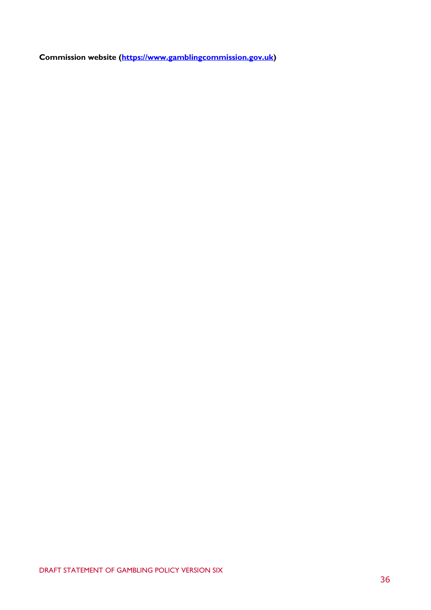**Commission website [\(https://www.gamblingcommission.gov.uk\)](https://www.gamblingcommission.gov.uk/)**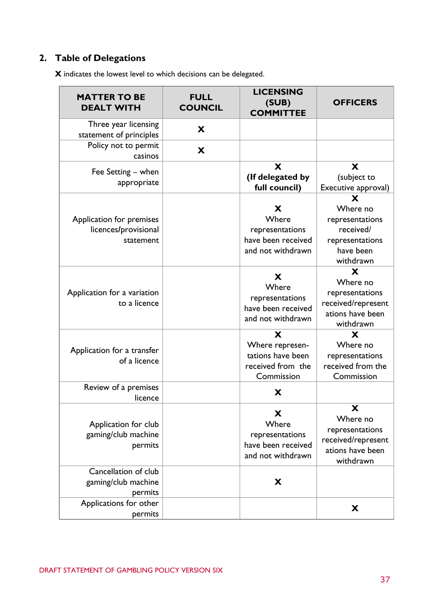# <span id="page-36-0"></span>**2. Table of Delegations**

**X** indicates the lowest level to which decisions can be delegated.

| <b>MATTER TO BE</b><br><b>DEALT WITH</b>                                       | <b>FULL</b><br><b>COUNCIL</b> | <b>LICENSING</b><br>(SUB)<br><b>COMMITTEE</b>                                | <b>OFFICERS</b>                                                                            |
|--------------------------------------------------------------------------------|-------------------------------|------------------------------------------------------------------------------|--------------------------------------------------------------------------------------------|
| Three year licensing<br>statement of principles                                | X                             |                                                                              |                                                                                            |
| Policy not to permit<br>casinos                                                | X                             |                                                                              |                                                                                            |
| Fee Setting - when<br>appropriate                                              |                               | X<br>(If delegated by<br>full council)                                       | X<br>(subject to<br>Executive approval)                                                    |
| Application for premises<br>licences/provisional<br>statement                  |                               | X<br>Where<br>representations<br>have been received<br>and not withdrawn     | X<br>Where no<br>representations<br>received/<br>representations<br>have been<br>withdrawn |
| Application for a variation<br>to a licence                                    |                               | X<br>Where<br>representations<br>have been received<br>and not withdrawn     | X<br>Where no<br>representations<br>received/represent<br>ations have been<br>withdrawn    |
| Application for a transfer<br>of a licence                                     |                               | X<br>Where represen-<br>tations have been<br>received from the<br>Commission | X<br>Where no<br>representations<br>received from the<br>Commission                        |
| Review of a premises<br>licence                                                |                               | X                                                                            |                                                                                            |
| Application for club<br>gaming/club machine<br>permits<br>Cancellation of club |                               | X<br>Where<br>representations<br>have been received<br>and not withdrawn     | X<br>Where no<br>representations<br>received/represent<br>ations have been<br>withdrawn    |
| gaming/club machine<br>permits                                                 |                               | X                                                                            |                                                                                            |
| Applications for other<br>permits                                              |                               |                                                                              | X                                                                                          |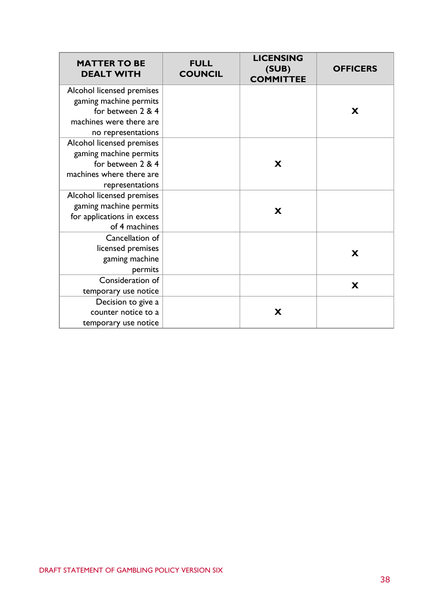| <b>MATTER TO BE</b><br><b>DEALT WITH</b> | <b>FULL</b><br><b>COUNCIL</b> | <b>LICENSING</b><br>(SUB)<br><b>COMMITTEE</b> | <b>OFFICERS</b> |
|------------------------------------------|-------------------------------|-----------------------------------------------|-----------------|
| Alcohol licensed premises                |                               |                                               |                 |
| gaming machine permits                   |                               |                                               |                 |
| for between 2 & 4                        |                               |                                               | X               |
| machines were there are                  |                               |                                               |                 |
| no representations                       |                               |                                               |                 |
| Alcohol licensed premises                |                               |                                               |                 |
| gaming machine permits                   |                               |                                               |                 |
| for between 2 & 4                        |                               | X                                             |                 |
| machines where there are                 |                               |                                               |                 |
| representations                          |                               |                                               |                 |
| Alcohol licensed premises                |                               |                                               |                 |
| gaming machine permits                   |                               | X                                             |                 |
| for applications in excess               |                               |                                               |                 |
| of 4 machines                            |                               |                                               |                 |
| Cancellation of                          |                               |                                               |                 |
| licensed premises                        |                               |                                               | X               |
| gaming machine                           |                               |                                               |                 |
| permits                                  |                               |                                               |                 |
| Consideration of                         |                               |                                               | X               |
| temporary use notice                     |                               |                                               |                 |
| Decision to give a                       |                               |                                               |                 |
| counter notice to a                      |                               | X                                             |                 |
| temporary use notice                     |                               |                                               |                 |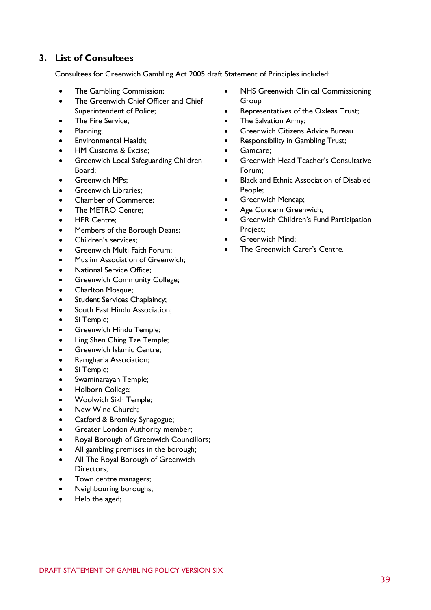#### <span id="page-38-0"></span>**3. List of Consultees**

Consultees for Greenwich Gambling Act 2005 draft Statement of Principles included:

- The Gambling Commission;
- The Greenwich Chief Officer and Chief Superintendent of Police;
- The Fire Service;
- Planning;
- Environmental Health;
- HM Customs & Excise;
- Greenwich Local Safeguarding Children Board;
- Greenwich MPs;
- Greenwich Libraries:
- Chamber of Commerce:
- The METRO Centre;
- **HER Centre:**
- Members of the Borough Deans;
- Children's services;
- Greenwich Multi Faith Forum;
- Muslim Association of Greenwich;
- National Service Office;
- Greenwich Community College;
- Charlton Mosque;
- Student Services Chaplaincy;
- South East Hindu Association;
- Si Temple;
- Greenwich Hindu Temple;
- Ling Shen Ching Tze Temple;
- Greenwich Islamic Centre;
- Ramgharia Association;
- Si Temple:
- Swaminarayan Temple;
- Holborn College;
- Woolwich Sikh Temple;
- New Wine Church;
- Catford & Bromley Synagogue;
- Greater London Authority member;
- Royal Borough of Greenwich Councillors;
- All gambling premises in the borough;
- All The Royal Borough of Greenwich Directors;
- Town centre managers;
- Neighbouring boroughs;
- Help the aged;
- NHS Greenwich Clinical Commissioning Group
- Representatives of the Oxleas Trust;
- The Salvation Army;
- Greenwich Citizens Advice Bureau
- Responsibility in Gambling Trust;
- Gamcare;
- Greenwich Head Teacher's Consultative Forum;
- Black and Ethnic Association of Disabled People;
- Greenwich Mencap;
- Age Concern Greenwich;
- Greenwich Children's Fund Participation Project;
- Greenwich Mind:
- The Greenwich Carer's Centre.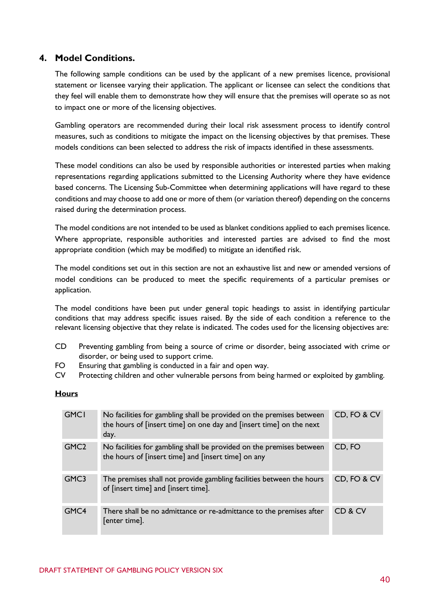#### <span id="page-39-0"></span>**4. Model Conditions.**

The following sample conditions can be used by the applicant of a new premises licence, provisional statement or licensee varying their application. The applicant or licensee can select the conditions that they feel will enable them to demonstrate how they will ensure that the premises will operate so as not to impact one or more of the licensing objectives.

Gambling operators are recommended during their local risk assessment process to identify control measures, such as conditions to mitigate the impact on the licensing objectives by that premises. These models conditions can been selected to address the risk of impacts identified in these assessments.

These model conditions can also be used by responsible authorities or interested parties when making representations regarding applications submitted to the Licensing Authority where they have evidence based concerns. The Licensing Sub-Committee when determining applications will have regard to these conditions and may choose to add one or more of them (or variation thereof) depending on the concerns raised during the determination process.

The model conditions are not intended to be used as blanket conditions applied to each premises licence. Where appropriate, responsible authorities and interested parties are advised to find the most appropriate condition (which may be modified) to mitigate an identified risk.

The model conditions set out in this section are not an exhaustive list and new or amended versions of model conditions can be produced to meet the specific requirements of a particular premises or application.

The model conditions have been put under general topic headings to assist in identifying particular conditions that may address specific issues raised. By the side of each condition a reference to the relevant licensing objective that they relate is indicated. The codes used for the licensing objectives are:

- CD Preventing gambling from being a source of crime or disorder, being associated with crime or disorder, or being used to support crime.
- FO Ensuring that gambling is conducted in a fair and open way.
- CV Protecting children and other vulnerable persons from being harmed or exploited by gambling.

#### **Hours**

| <b>GMCI</b>      | No facilities for gambling shall be provided on the premises between<br>the hours of [insert time] on one day and [insert time] on the next<br>day. | CD, FO & CV |
|------------------|-----------------------------------------------------------------------------------------------------------------------------------------------------|-------------|
| GMC <sub>2</sub> | No facilities for gambling shall be provided on the premises between<br>the hours of [insert time] and [insert time] on any                         | CD, FO      |
| GMC3             | The premises shall not provide gambling facilities between the hours<br>of [insert time] and [insert time].                                         | CD, FO & CV |
| GMC <sub>4</sub> | There shall be no admittance or re-admittance to the premises after<br>[enter time].                                                                | CD & CV     |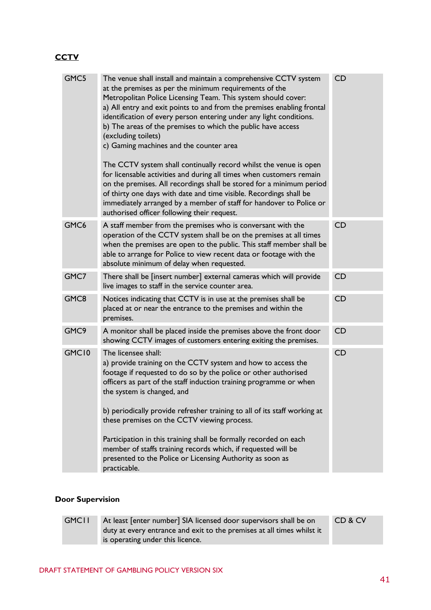#### **CCTV**

| GMC5             | The venue shall install and maintain a comprehensive CCTV system<br>at the premises as per the minimum requirements of the<br>Metropolitan Police Licensing Team. This system should cover:<br>a) All entry and exit points to and from the premises enabling frontal<br>identification of every person entering under any light conditions.<br>b) The areas of the premises to which the public have access<br>(excluding toilets)<br>c) Gaming machines and the counter area<br>The CCTV system shall continually record whilst the venue is open<br>for licensable activities and during all times when customers remain | CD        |
|------------------|-----------------------------------------------------------------------------------------------------------------------------------------------------------------------------------------------------------------------------------------------------------------------------------------------------------------------------------------------------------------------------------------------------------------------------------------------------------------------------------------------------------------------------------------------------------------------------------------------------------------------------|-----------|
|                  | on the premises. All recordings shall be stored for a minimum period<br>of thirty one days with date and time visible. Recordings shall be<br>immediately arranged by a member of staff for handover to Police or<br>authorised officer following their request.                                                                                                                                                                                                                                                                                                                                                            |           |
| GMC <sub>6</sub> | A staff member from the premises who is conversant with the<br>operation of the CCTV system shall be on the premises at all times<br>when the premises are open to the public. This staff member shall be<br>able to arrange for Police to view recent data or footage with the<br>absolute minimum of delay when requested.                                                                                                                                                                                                                                                                                                | <b>CD</b> |
| GMC7             | There shall be [insert number] external cameras which will provide<br>live images to staff in the service counter area.                                                                                                                                                                                                                                                                                                                                                                                                                                                                                                     | <b>CD</b> |
| GMC8             | Notices indicating that CCTV is in use at the premises shall be<br>placed at or near the entrance to the premises and within the<br>premises.                                                                                                                                                                                                                                                                                                                                                                                                                                                                               | <b>CD</b> |
| GMC9             | A monitor shall be placed inside the premises above the front door<br>showing CCTV images of customers entering exiting the premises.                                                                                                                                                                                                                                                                                                                                                                                                                                                                                       | <b>CD</b> |
| GMC10            | The licensee shall:<br>a) provide training on the CCTV system and how to access the<br>footage if requested to do so by the police or other authorised<br>officers as part of the staff induction training programme or when<br>the system is changed, and                                                                                                                                                                                                                                                                                                                                                                  | <b>CD</b> |
|                  | b) periodically provide refresher training to all of its staff working at<br>these premises on the CCTV viewing process.                                                                                                                                                                                                                                                                                                                                                                                                                                                                                                    |           |
|                  | Participation in this training shall be formally recorded on each<br>member of staffs training records which, if requested will be<br>presented to the Police or Licensing Authority as soon as<br>practicable.                                                                                                                                                                                                                                                                                                                                                                                                             |           |
|                  |                                                                                                                                                                                                                                                                                                                                                                                                                                                                                                                                                                                                                             |           |

#### **Door Supervision**

| <b>GMCII</b> | At least [enter number] SIA licensed door supervisors shall be on      | CD & CV |
|--------------|------------------------------------------------------------------------|---------|
|              | duty at every entrance and exit to the premises at all times whilst it |         |
|              | is operating under this licence.                                       |         |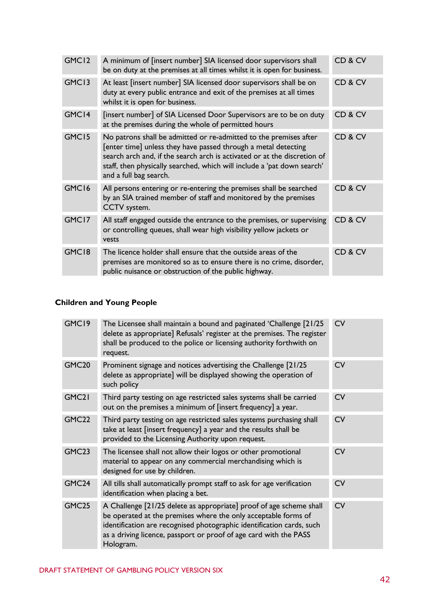| GMC <sub>12</sub> | A minimum of [insert number] SIA licensed door supervisors shall<br>be on duty at the premises at all times whilst it is open for business.                                                                                                                                                                          | CD & CV |
|-------------------|----------------------------------------------------------------------------------------------------------------------------------------------------------------------------------------------------------------------------------------------------------------------------------------------------------------------|---------|
| GMC <sub>13</sub> | At least [insert number] SIA licensed door supervisors shall be on<br>duty at every public entrance and exit of the premises at all times<br>whilst it is open for business.                                                                                                                                         | CD & CV |
| GMC14             | [insert number] of SIA Licensed Door Supervisors are to be on duty<br>at the premises during the whole of permitted hours                                                                                                                                                                                            | CD & CV |
| GMC15             | No patrons shall be admitted or re-admitted to the premises after<br>[enter time] unless they have passed through a metal detecting<br>search arch and, if the search arch is activated or at the discretion of<br>staff, then physically searched, which will include a 'pat down search'<br>and a full bag search. | CD & CV |
| GMC16             | All persons entering or re-entering the premises shall be searched<br>by an SIA trained member of staff and monitored by the premises<br>CCTV system.                                                                                                                                                                | CD & CV |
| GMC17             | All staff engaged outside the entrance to the premises, or supervising<br>or controlling queues, shall wear high visibility yellow jackets or<br>vests                                                                                                                                                               | CD & CV |
| GMC18             | The licence holder shall ensure that the outside areas of the<br>premises are monitored so as to ensure there is no crime, disorder,<br>public nuisance or obstruction of the public highway.                                                                                                                        | CD & CV |

# **Children and Young People**

| GMC <sub>19</sub> | The Licensee shall maintain a bound and paginated 'Challenge [21/25<br>delete as appropriate] Refusals' register at the premises. The register<br>shall be produced to the police or licensing authority forthwith on<br>request.                                                                | <b>CV</b> |
|-------------------|--------------------------------------------------------------------------------------------------------------------------------------------------------------------------------------------------------------------------------------------------------------------------------------------------|-----------|
| GMC <sub>20</sub> | Prominent signage and notices advertising the Challenge [21/25]<br>delete as appropriate] will be displayed showing the operation of<br>such policy                                                                                                                                              | <b>CV</b> |
| GMC <sub>21</sub> | Third party testing on age restricted sales systems shall be carried<br>out on the premises a minimum of [insert frequency] a year.                                                                                                                                                              | <b>CV</b> |
| GMC <sub>22</sub> | Third party testing on age restricted sales systems purchasing shall<br>take at least [insert frequency] a year and the results shall be<br>provided to the Licensing Authority upon request.                                                                                                    | <b>CV</b> |
| GMC <sub>23</sub> | The licensee shall not allow their logos or other promotional<br>material to appear on any commercial merchandising which is<br>designed for use by children.                                                                                                                                    | <b>CV</b> |
| GMC <sub>24</sub> | All tills shall automatically prompt staff to ask for age verification<br>identification when placing a bet.                                                                                                                                                                                     | <b>CV</b> |
| GMC <sub>25</sub> | A Challenge [21/25 delete as appropriate] proof of age scheme shall<br>be operated at the premises where the only acceptable forms of<br>identification are recognised photographic identification cards, such<br>as a driving licence, passport or proof of age card with the PASS<br>Hologram. | <b>CV</b> |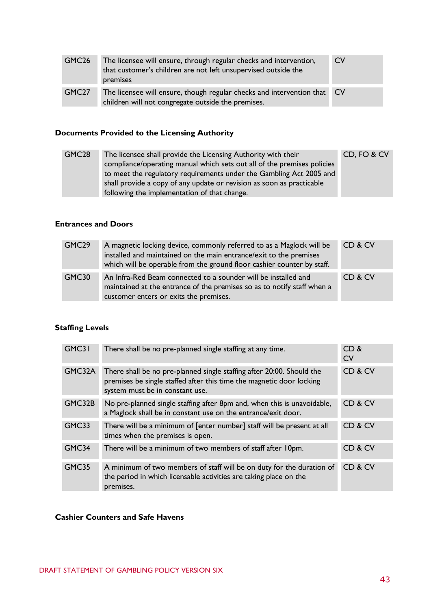| GMC <sub>26</sub> | The licensee will ensure, through regular checks and intervention,<br>that customer's children are not left unsupervised outside the<br>premises | <b>CV</b> |
|-------------------|--------------------------------------------------------------------------------------------------------------------------------------------------|-----------|
| GMC27             | The licensee will ensure, though regular checks and intervention that CV<br>children will not congregate outside the premises.                   |           |

#### **Documents Provided to the Licensing Authority**

| GMC <sub>28</sub> | The licensee shall provide the Licensing Authority with their           | CD, FO & CV |
|-------------------|-------------------------------------------------------------------------|-------------|
|                   | compliance/operating manual which sets out all of the premises policies |             |
|                   | to meet the regulatory requirements under the Gambling Act 2005 and     |             |
|                   | shall provide a copy of any update or revision as soon as practicable   |             |
|                   | following the implementation of that change.                            |             |

#### **Entrances and Doors**

| GMC <sub>29</sub> | A magnetic locking device, commonly referred to as a Maglock will be<br>installed and maintained on the main entrance/exit to the premises<br>which will be operable from the ground floor cashier counter by staff. | CD & CV |
|-------------------|----------------------------------------------------------------------------------------------------------------------------------------------------------------------------------------------------------------------|---------|
| GMC30             | An Infra-Red Beam connected to a sounder will be installed and<br>maintained at the entrance of the premises so as to notify staff when a<br>customer enters or exits the premises.                                  | CD & CV |

#### **Staffing Levels**

| GMC31  | There shall be no pre-planned single staffing at any time.                                                                                                                       | CD <sub>&amp;</sub><br><b>CV</b> |
|--------|----------------------------------------------------------------------------------------------------------------------------------------------------------------------------------|----------------------------------|
| GMC32A | There shall be no pre-planned single staffing after 20:00. Should the<br>premises be single staffed after this time the magnetic door locking<br>system must be in constant use. | CD & CV                          |
| GMC32B | No pre-planned single staffing after 8pm and, when this is unavoidable,<br>a Maglock shall be in constant use on the entrance/exit door.                                         | CD & CV                          |
| GMC33  | There will be a minimum of [enter number] staff will be present at all<br>times when the premises is open.                                                                       | CD & CV                          |
| GMC34  | There will be a minimum of two members of staff after 10pm.                                                                                                                      | CD & CV                          |
| GMC35  | A minimum of two members of staff will be on duty for the duration of<br>the period in which licensable activities are taking place on the<br>premises.                          | CD & CV                          |

#### **Cashier Counters and Safe Havens**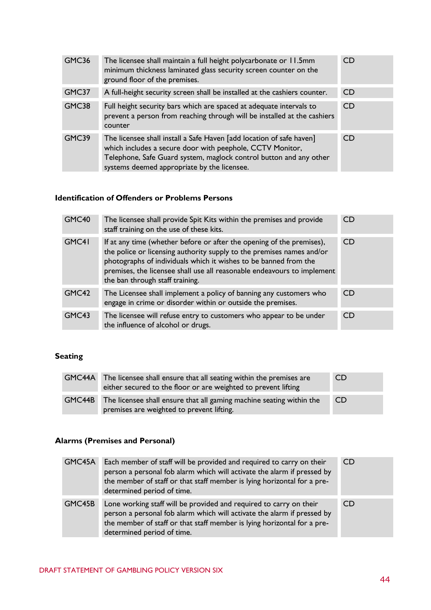| GMC36 | The licensee shall maintain a full height polycarbonate or 11.5mm<br>minimum thickness laminated glass security screen counter on the<br>ground floor of the premises.                                                                                 | CD        |
|-------|--------------------------------------------------------------------------------------------------------------------------------------------------------------------------------------------------------------------------------------------------------|-----------|
| GMC37 | A full-height security screen shall be installed at the cashiers counter.                                                                                                                                                                              | <b>CD</b> |
| GMC38 | Full height security bars which are spaced at adequate intervals to<br>prevent a person from reaching through will be installed at the cashiers<br>counter                                                                                             | <b>CD</b> |
| GMC39 | The licensee shall install a Safe Haven [add location of safe haven]<br>which includes a secure door with peephole, CCTV Monitor,<br>Telephone, Safe Guard system, maglock control button and any other<br>systems deemed appropriate by the licensee. | CD        |

#### **Identification of Offenders or Problems Persons**

| GMC <sub>40</sub> | The licensee shall provide Spit Kits within the premises and provide<br>staff training on the use of these kits.                                                                                                                                                                                                                 | CD        |
|-------------------|----------------------------------------------------------------------------------------------------------------------------------------------------------------------------------------------------------------------------------------------------------------------------------------------------------------------------------|-----------|
| GMC41             | If at any time (whether before or after the opening of the premises),<br>the police or licensing authority supply to the premises names and/or<br>photographs of individuals which it wishes to be banned from the<br>premises, the licensee shall use all reasonable endeavours to implement<br>the ban through staff training. | <b>CD</b> |
| GMC42             | The Licensee shall implement a policy of banning any customers who<br>engage in crime or disorder within or outside the premises.                                                                                                                                                                                                | <b>CD</b> |
| GMC43             | The licensee will refuse entry to customers who appear to be under<br>the influence of alcohol or drugs.                                                                                                                                                                                                                         | CD.       |

#### **Seating**

| GMC44A The licensee shall ensure that all seating within the premises are<br>either secured to the floor or are weighted to prevent lifting | <b>CD</b> |
|---------------------------------------------------------------------------------------------------------------------------------------------|-----------|
| GMC44B The licensee shall ensure that all gaming machine seating within the<br>premises are weighted to prevent lifting.                    | <b>CD</b> |

#### **Alarms (Premises and Personal)**

| GMC45A | Each member of staff will be provided and required to carry on their<br>person a personal fob alarm which will activate the alarm if pressed by<br>the member of staff or that staff member is lying horizontal for a pre-<br>determined period of time. | <b>CD</b> |
|--------|----------------------------------------------------------------------------------------------------------------------------------------------------------------------------------------------------------------------------------------------------------|-----------|
| GMC45B | Lone working staff will be provided and required to carry on their<br>person a personal fob alarm which will activate the alarm if pressed by<br>the member of staff or that staff member is lying horizontal for a pre-<br>determined period of time.   | <b>CD</b> |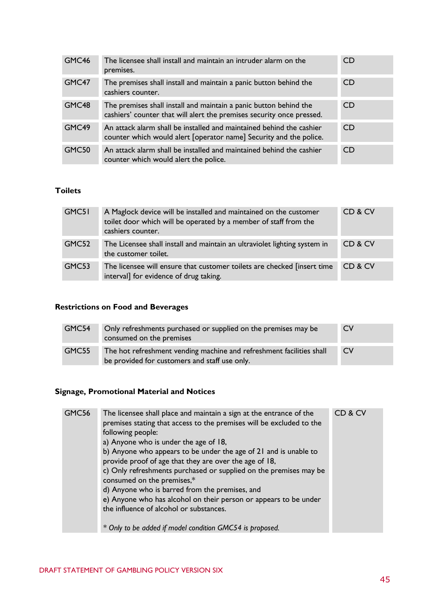| GMC <sub>46</sub> | The licensee shall install and maintain an intruder alarm on the<br>premises.                                                              | <b>CD</b> |
|-------------------|--------------------------------------------------------------------------------------------------------------------------------------------|-----------|
| GMC47             | The premises shall install and maintain a panic button behind the<br>cashiers counter.                                                     | <b>CD</b> |
| GMC48             | The premises shall install and maintain a panic button behind the<br>cashiers' counter that will alert the premises security once pressed. | <b>CD</b> |
| GMC <sub>49</sub> | An attack alarm shall be installed and maintained behind the cashier<br>counter which would alert [operator name] Security and the police. | CD        |
| GMC50             | An attack alarm shall be installed and maintained behind the cashier<br>counter which would alert the police.                              | CD        |

#### **Toilets**

| GMC51 | A Maglock device will be installed and maintained on the customer<br>toilet door which will be operated by a member of staff from the<br>cashiers counter. | CD & CV |
|-------|------------------------------------------------------------------------------------------------------------------------------------------------------------|---------|
| GMC52 | The Licensee shall install and maintain an ultraviolet lighting system in<br>the customer toilet.                                                          | CD & CV |
| GMC53 | The licensee will ensure that customer toilets are checked [insert time<br>interval] for evidence of drug taking.                                          | CD & CV |

#### **Restrictions on Food and Beverages**

| GMC54 | Only refreshments purchased or supplied on the premises may be<br>consumed on the premises                            | <b>CV</b> |
|-------|-----------------------------------------------------------------------------------------------------------------------|-----------|
| GMC55 | The hot refreshment vending machine and refreshment facilities shall<br>be provided for customers and staff use only. | <b>CV</b> |

#### **Signage, Promotional Material and Notices**

| GMC56 | The licensee shall place and maintain a sign at the entrance of the<br>premises stating that access to the premises will be excluded to the<br>following people:<br>a) Anyone who is under the age of 18,<br>b) Anyone who appears to be under the age of 21 and is unable to<br>provide proof of age that they are over the age of 18,<br>c) Only refreshments purchased or supplied on the premises may be<br>consumed on the premises,*<br>d) Anyone who is barred from the premises, and<br>e) Anyone who has alcohol on their person or appears to be under<br>the influence of alcohol or substances.<br>* Only to be added if model condition GMC54 is proposed. | CD & CV |
|-------|-------------------------------------------------------------------------------------------------------------------------------------------------------------------------------------------------------------------------------------------------------------------------------------------------------------------------------------------------------------------------------------------------------------------------------------------------------------------------------------------------------------------------------------------------------------------------------------------------------------------------------------------------------------------------|---------|
|       |                                                                                                                                                                                                                                                                                                                                                                                                                                                                                                                                                                                                                                                                         |         |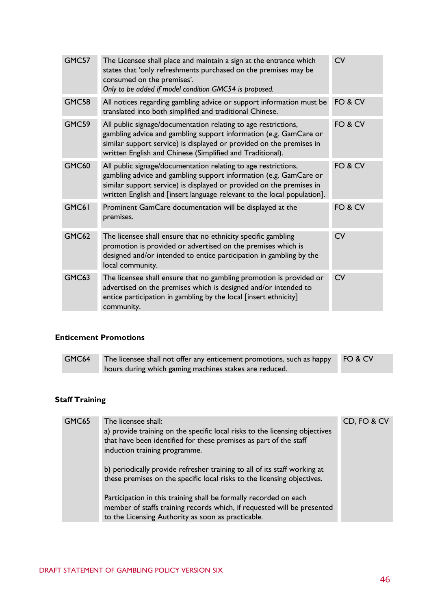| GMC57 | The Licensee shall place and maintain a sign at the entrance which<br>states that 'only refreshments purchased on the premises may be<br>consumed on the premises'.<br>Only to be added if model condition GMC54 is proposed.                                                          | <b>CV</b> |
|-------|----------------------------------------------------------------------------------------------------------------------------------------------------------------------------------------------------------------------------------------------------------------------------------------|-----------|
| GMC58 | All notices regarding gambling advice or support information must be<br>translated into both simplified and traditional Chinese.                                                                                                                                                       | FO & CV   |
| GMC59 | All public signage/documentation relating to age restrictions,<br>gambling advice and gambling support information (e.g. GamCare or<br>similar support service) is displayed or provided on the premises in<br>written English and Chinese (Simplified and Traditional).               | FO & CV   |
| GMC60 | All public signage/documentation relating to age restrictions,<br>gambling advice and gambling support information (e.g. GamCare or<br>similar support service) is displayed or provided on the premises in<br>written English and [insert language relevant to the local population]. | FO & CV   |
| GMC61 | Prominent GamCare documentation will be displayed at the<br>premises.                                                                                                                                                                                                                  | FO & CV   |
| GMC62 | The licensee shall ensure that no ethnicity specific gambling<br>promotion is provided or advertised on the premises which is<br>designed and/or intended to entice participation in gambling by the<br>local community.                                                               | <b>CV</b> |
| GMC63 | The licensee shall ensure that no gambling promotion is provided or<br>advertised on the premises which is designed and/or intended to<br>entice participation in gambling by the local [insert ethnicity]<br>community.                                                               | <b>CV</b> |

#### **Enticement Promotions**

| GMC64 | The licensee shall not offer any enticement promotions, such as happy FO & CV |  |
|-------|-------------------------------------------------------------------------------|--|
|       | hours during which gaming machines stakes are reduced.                        |  |

#### **Staff Training**

| GMC65 | The licensee shall:<br>a) provide training on the specific local risks to the licensing objectives<br>that have been identified for these premises as part of the staff<br>induction training programme. | CD, FO & CV |
|-------|----------------------------------------------------------------------------------------------------------------------------------------------------------------------------------------------------------|-------------|
|       | b) periodically provide refresher training to all of its staff working at<br>these premises on the specific local risks to the licensing objectives.                                                     |             |
|       | Participation in this training shall be formally recorded on each<br>member of staffs training records which, if requested will be presented<br>to the Licensing Authority as soon as practicable.       |             |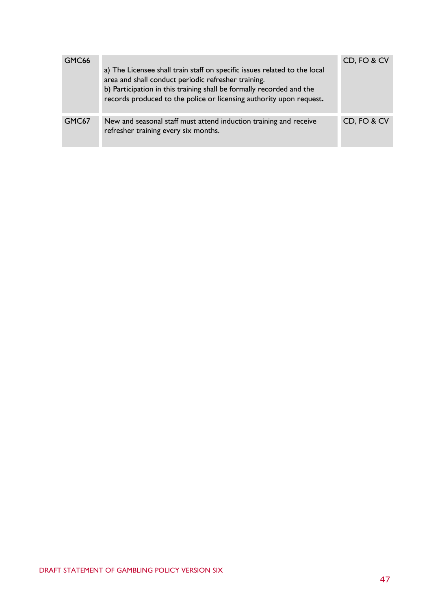| GMC66 | a) The Licensee shall train staff on specific issues related to the local<br>area and shall conduct periodic refresher training.<br>b) Participation in this training shall be formally recorded and the<br>records produced to the police or licensing authority upon request. | CD, FO & CV |
|-------|---------------------------------------------------------------------------------------------------------------------------------------------------------------------------------------------------------------------------------------------------------------------------------|-------------|
| GMC67 | New and seasonal staff must attend induction training and receive<br>refresher training every six months.                                                                                                                                                                       | CD, FO & CV |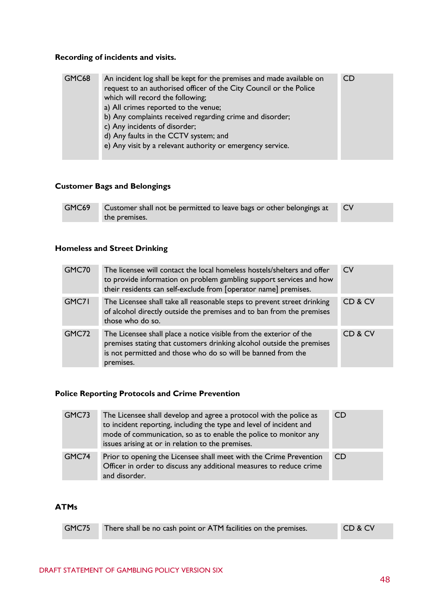#### **Recording of incidents and visits.**

| GMC68 | An incident log shall be kept for the premises and made available on<br>request to an authorised officer of the City Council or the Police<br>which will record the following;<br>a) All crimes reported to the venue;<br>b) Any complaints received regarding crime and disorder;<br>c) Any incidents of disorder;<br>d) Any faults in the CCTV system; and<br>e) Any visit by a relevant authority or emergency service. | <b>CD</b> |
|-------|----------------------------------------------------------------------------------------------------------------------------------------------------------------------------------------------------------------------------------------------------------------------------------------------------------------------------------------------------------------------------------------------------------------------------|-----------|
|-------|----------------------------------------------------------------------------------------------------------------------------------------------------------------------------------------------------------------------------------------------------------------------------------------------------------------------------------------------------------------------------------------------------------------------------|-----------|

#### **Customer Bags and Belongings**

| GMC69 | Customer shall not be permitted to leave bags or other belongings at |  |
|-------|----------------------------------------------------------------------|--|
|       | the premises.                                                        |  |

#### **Homeless and Street Drinking**

| GMC70 | The licensee will contact the local homeless hostels/shelters and offer<br>to provide information on problem gambling support services and how<br>their residents can self-exclude from [operator name] premises.        | CV      |
|-------|--------------------------------------------------------------------------------------------------------------------------------------------------------------------------------------------------------------------------|---------|
| GMC71 | The Licensee shall take all reasonable steps to prevent street drinking<br>of alcohol directly outside the premises and to ban from the premises<br>those who do so.                                                     | CD & CV |
| GMC72 | The Licensee shall place a notice visible from the exterior of the<br>premises stating that customers drinking alcohol outside the premises<br>is not permitted and those who do so will be banned from the<br>premises. | CD & CV |

#### **Police Reporting Protocols and Crime Prevention**

| GMC73 | The Licensee shall develop and agree a protocol with the police as<br>to incident reporting, including the type and level of incident and<br>mode of communication, so as to enable the police to monitor any<br>issues arising at or in relation to the premises. | <b>CD</b> |
|-------|--------------------------------------------------------------------------------------------------------------------------------------------------------------------------------------------------------------------------------------------------------------------|-----------|
| GMC74 | Prior to opening the Licensee shall meet with the Crime Prevention<br>Officer in order to discuss any additional measures to reduce crime<br>and disorder.                                                                                                         | <b>CD</b> |

#### **ATMs**

|  | GMC75 There shall be no cash point or ATM facilities on the premises. | CD & CV |
|--|-----------------------------------------------------------------------|---------|
|--|-----------------------------------------------------------------------|---------|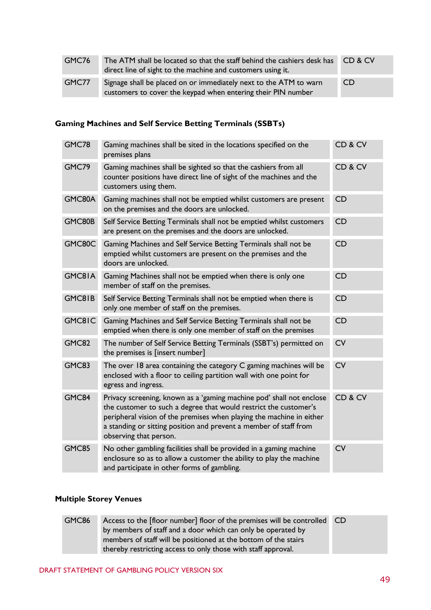| GMC76 | The ATM shall be located so that the staff behind the cashiers desk has<br>direct line of sight to the machine and customers using it. | CD & CV   |
|-------|----------------------------------------------------------------------------------------------------------------------------------------|-----------|
| GMC77 | Signage shall be placed on or immediately next to the ATM to warn<br>customers to cover the keypad when entering their PIN number      | <b>CD</b> |

#### **Gaming Machines and Self Service Betting Terminals (SSBTs)**

| GMC78  | Gaming machines shall be sited in the locations specified on the<br>premises plans                                                                                                                                                                                                                              | CD & CV   |
|--------|-----------------------------------------------------------------------------------------------------------------------------------------------------------------------------------------------------------------------------------------------------------------------------------------------------------------|-----------|
| GMC79  | Gaming machines shall be sighted so that the cashiers from all<br>counter positions have direct line of sight of the machines and the<br>customers using them.                                                                                                                                                  | CD & CV   |
| GMC80A | Gaming machines shall not be emptied whilst customers are present<br>on the premises and the doors are unlocked.                                                                                                                                                                                                | <b>CD</b> |
| GMC80B | Self Service Betting Terminals shall not be emptied whilst customers<br>are present on the premises and the doors are unlocked.                                                                                                                                                                                 | <b>CD</b> |
| GMC80C | Gaming Machines and Self Service Betting Terminals shall not be<br>emptied whilst customers are present on the premises and the<br>doors are unlocked.                                                                                                                                                          | <b>CD</b> |
| GMC81A | Gaming Machines shall not be emptied when there is only one<br>member of staff on the premises.                                                                                                                                                                                                                 | <b>CD</b> |
| GMC81B | Self Service Betting Terminals shall not be emptied when there is<br>only one member of staff on the premises.                                                                                                                                                                                                  | <b>CD</b> |
| GMC81C | Gaming Machines and Self Service Betting Terminals shall not be<br>emptied when there is only one member of staff on the premises                                                                                                                                                                               | <b>CD</b> |
| GMC82  | The number of Self Service Betting Terminals (SSBT's) permitted on<br>the premises is [insert number]                                                                                                                                                                                                           | <b>CV</b> |
| GMC83  | The over 18 area containing the category C gaming machines will be<br>enclosed with a floor to ceiling partition wall with one point for<br>egress and ingress.                                                                                                                                                 | <b>CV</b> |
| GMC84  | Privacy screening, known as a 'gaming machine pod' shall not enclose<br>the customer to such a degree that would restrict the customer's<br>peripheral vision of the premises when playing the machine in either<br>a standing or sitting position and prevent a member of staff from<br>observing that person. | CD & CV   |
| GMC85  | No other gambling facilities shall be provided in a gaming machine<br>enclosure so as to allow a customer the ability to play the machine<br>and participate in other forms of gambling.                                                                                                                        | <b>CV</b> |

#### **Multiple Storey Venues**

GMC86 Access to the [floor number] floor of the premises will be controlled by members of staff and a door which can only be operated by members of staff will be positioned at the bottom of the stairs thereby restricting access to only those with staff approval. CD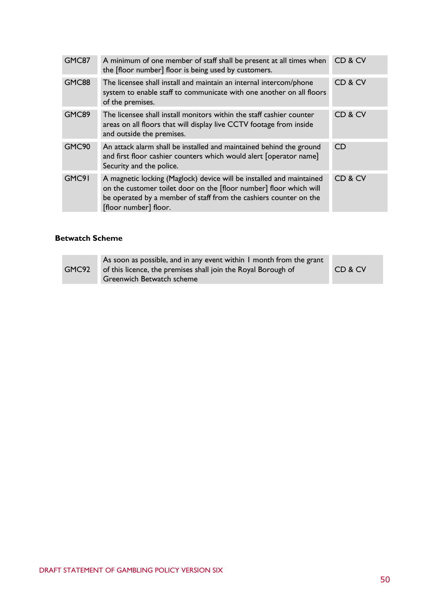| GMC87 | A minimum of one member of staff shall be present at all times when<br>the [floor number] floor is being used by customers.                                                                                                              | CD & CV   |
|-------|------------------------------------------------------------------------------------------------------------------------------------------------------------------------------------------------------------------------------------------|-----------|
| GMC88 | The licensee shall install and maintain an internal intercom/phone<br>system to enable staff to communicate with one another on all floors<br>of the premises.                                                                           | CD & CV   |
| GMC89 | The licensee shall install monitors within the staff cashier counter<br>areas on all floors that will display live CCTV footage from inside<br>and outside the premises.                                                                 | CD & CV   |
| GMC90 | An attack alarm shall be installed and maintained behind the ground<br>and first floor cashier counters which would alert [operator name]<br>Security and the police.                                                                    | <b>CD</b> |
| GMC91 | A magnetic locking (Maglock) device will be installed and maintained<br>on the customer toilet door on the [floor number] floor which will<br>be operated by a member of staff from the cashiers counter on the<br>[floor number] floor. | CD & CV   |

#### **Betwatch Scheme**

| GMC92 | As soon as possible, and in any event within I month from the grant<br>of this licence, the premises shall join the Royal Borough of | CD & CV |
|-------|--------------------------------------------------------------------------------------------------------------------------------------|---------|
|       | Greenwich Betwatch scheme                                                                                                            |         |